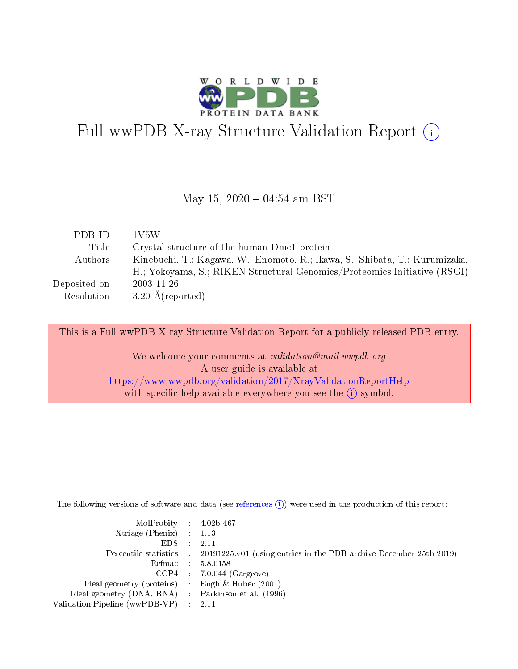

# Full wwPDB X-ray Structure Validation Report (i)

#### May 15,  $2020 - 04:54$  am BST

| PDB ID : 1V5W                       |                                                                                       |
|-------------------------------------|---------------------------------------------------------------------------------------|
|                                     | Title : Crystal structure of the human Dmc1 protein                                   |
|                                     | Authors : Kinebuchi, T.; Kagawa, W.; Enomoto, R.; Ikawa, S.; Shibata, T.; Kurumizaka, |
|                                     | H.; Yokoyama, S.; RIKEN Structural Genomics/Proteomics Initiative (RSGI)              |
| Deposited on $\;$ : 2003-11-26 $\;$ |                                                                                       |
|                                     | Resolution : $3.20 \text{ Å}$ (reported)                                              |

This is a Full wwPDB X-ray Structure Validation Report for a publicly released PDB entry.

We welcome your comments at validation@mail.wwpdb.org A user guide is available at <https://www.wwpdb.org/validation/2017/XrayValidationReportHelp> with specific help available everywhere you see the  $(i)$  symbol.

The following versions of software and data (see [references](https://www.wwpdb.org/validation/2017/XrayValidationReportHelp#references)  $(i)$ ) were used in the production of this report:

| $MolProbability$ 4.02b-467                          |                                                                                            |
|-----------------------------------------------------|--------------------------------------------------------------------------------------------|
| Xtriage (Phenix) $: 1.13$                           |                                                                                            |
| $EDS$ :                                             | -2.11                                                                                      |
|                                                     | Percentile statistics : 20191225.v01 (using entries in the PDB archive December 25th 2019) |
|                                                     | Refmac : 5.8.0158                                                                          |
|                                                     | $CCP4$ : 7.0.044 (Gargrove)                                                                |
| Ideal geometry (proteins) : Engh $\&$ Huber (2001)  |                                                                                            |
| Ideal geometry (DNA, RNA) : Parkinson et al. (1996) |                                                                                            |
| Validation Pipeline (wwPDB-VP)                      | -2.11                                                                                      |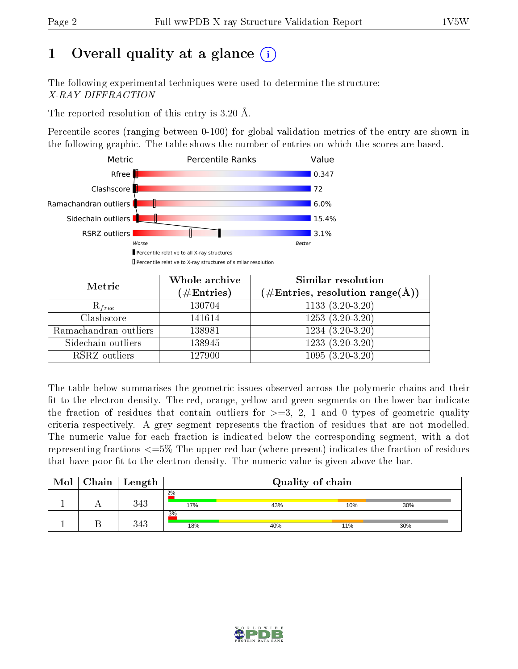# 1 [O](https://www.wwpdb.org/validation/2017/XrayValidationReportHelp#overall_quality)verall quality at a glance  $(i)$

The following experimental techniques were used to determine the structure: X-RAY DIFFRACTION

The reported resolution of this entry is 3.20 Å.

Percentile scores (ranging between 0-100) for global validation metrics of the entry are shown in the following graphic. The table shows the number of entries on which the scores are based.



| Metric                | Whole archive<br>$(\#\text{Entries})$ | Similar resolution<br>$(\#\text{Entries},\,\text{resolution}\,\,\text{range}(\textup{\AA}))$ |
|-----------------------|---------------------------------------|----------------------------------------------------------------------------------------------|
| $R_{free}$            | 130704                                | 1133 $(3.20-3.\overline{20)}$                                                                |
| Clashscore            | 141614                                | $1253(3.20-3.20)$                                                                            |
| Ramachandran outliers | 138981                                | $1234(3.20-3.20)$                                                                            |
| Sidechain outliers    | 138945                                | $1233(3.20-3.20)$                                                                            |
| RSRZ outliers         | 127900                                | $1095(3.20-3.20)$                                                                            |

The table below summarises the geometric issues observed across the polymeric chains and their fit to the electron density. The red, orange, yellow and green segments on the lower bar indicate the fraction of residues that contain outliers for  $>=3, 2, 1$  and 0 types of geometric quality criteria respectively. A grey segment represents the fraction of residues that are not modelled. The numeric value for each fraction is indicated below the corresponding segment, with a dot representing fractions  $\epsilon=5\%$  The upper red bar (where present) indicates the fraction of residues that have poor fit to the electron density. The numeric value is given above the bar.

| Mol | Chain | Length | Quality of chain |     |     |     |  |
|-----|-------|--------|------------------|-----|-----|-----|--|
|     |       | 343    | 2%<br>17%        | 43% | 10% | 30% |  |
|     |       | 343    | 3%<br>18%        | 40% | 11% | 30% |  |

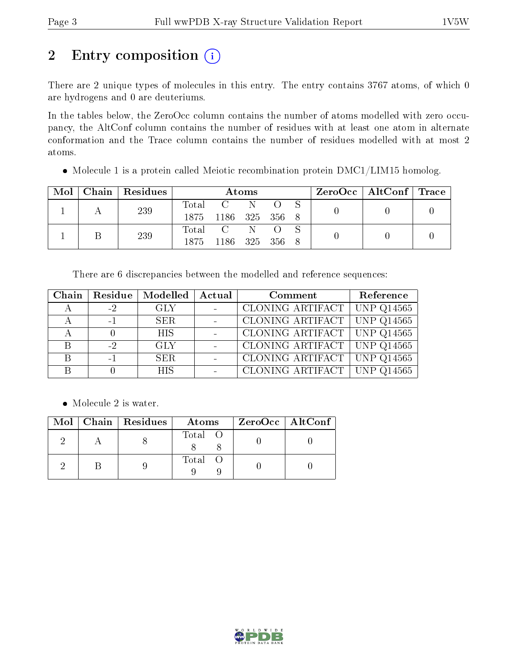# 2 Entry composition (i)

There are 2 unique types of molecules in this entry. The entry contains 3767 atoms, of which 0 are hydrogens and 0 are deuteriums.

In the tables below, the ZeroOcc column contains the number of atoms modelled with zero occupancy, the AltConf column contains the number of residues with at least one atom in alternate conformation and the Trace column contains the number of residues modelled with at most 2 atoms.

• Molecule 1 is a protein called Meiotic recombination protein DMC1/LIM15 homolog.

| Mol |  | Chain   Residues | Atoms            |                     |                             |  | $\text{ZeroOcc} \mid \text{AltConf} \mid \text{Trace}$ |  |  |
|-----|--|------------------|------------------|---------------------|-----------------------------|--|--------------------------------------------------------|--|--|
|     |  | 239              | $\mathrm{Total}$ |                     | $C \quad N \quad O \quad S$ |  |                                                        |  |  |
|     |  |                  |                  | 1875 1186 325 356 8 |                             |  |                                                        |  |  |
|     |  | 239              |                  | Total C N O S       |                             |  |                                                        |  |  |
|     |  |                  |                  | 1875 1186 325 356 8 |                             |  |                                                        |  |  |

There are 6 discrepancies between the modelled and reference sequences:

|              |      | Chain   Residue   Modelled | Actual | Comment                         | Reference |
|--------------|------|----------------------------|--------|---------------------------------|-----------|
|              | $-2$ | GLY                        |        | CLONING ARTIFACT   UNP Q14565   |           |
|              | $-1$ | SER.                       |        | CLONING ARTIFACT   UNP Q14565   |           |
|              |      | HIS.                       |        | CLONING ARTIFACT UNP $Q14565$   |           |
| <sub>B</sub> | $-2$ | <b>GLY</b>                 |        | CLONING ARTIFACT   UNP Q14565   |           |
|              | $-1$ | <b>SER</b>                 |        | CLONING ARTIFACT UNP Q14565     |           |
|              |      | <b>HIS</b>                 |        | CLONING ARTIFACT   UNP $Q14565$ |           |

• Molecule 2 is water.

|  | Mol   Chain   Residues | Atoms   | ZeroOcc   AltConf |
|--|------------------------|---------|-------------------|
|  |                        | Total O |                   |
|  |                        | Total O |                   |

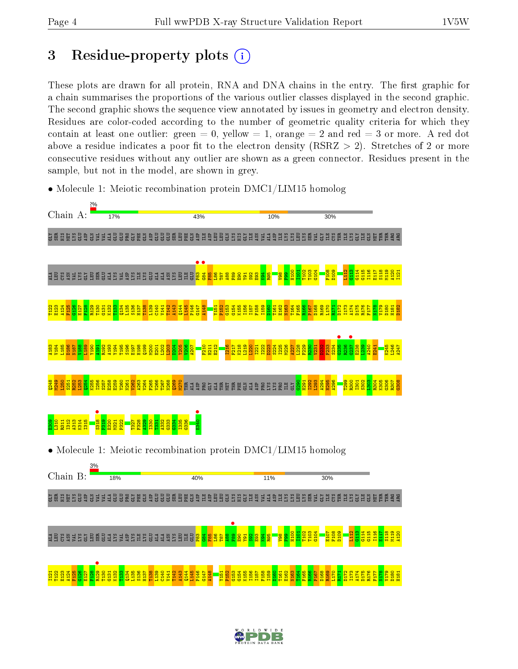# 3 Residue-property plots  $(i)$

These plots are drawn for all protein, RNA and DNA chains in the entry. The first graphic for a chain summarises the proportions of the various outlier classes displayed in the second graphic. The second graphic shows the sequence view annotated by issues in geometry and electron density. Residues are color-coded according to the number of geometric quality criteria for which they contain at least one outlier: green  $= 0$ , yellow  $= 1$ , orange  $= 2$  and red  $= 3$  or more. A red dot above a residue indicates a poor fit to the electron density (RSRZ  $> 2$ ). Stretches of 2 or more consecutive residues without any outlier are shown as a green connector. Residues present in the sample, but not in the model, are shown in grey.



• Molecule 1: Meiotic recombination protein DMC1/LIM15 homolog

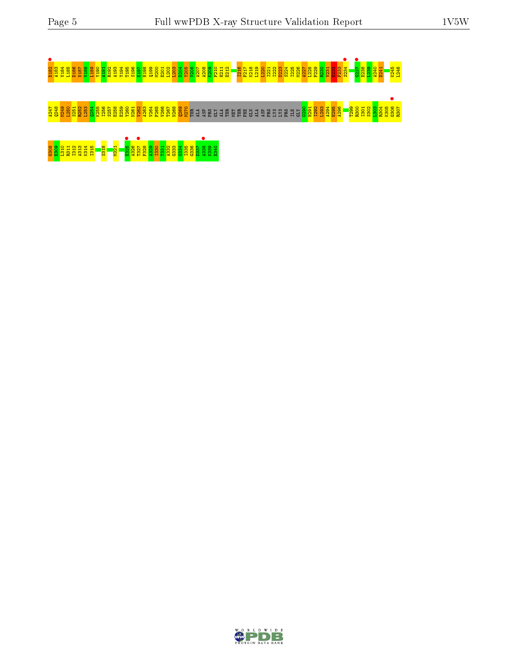# D182 • A183 V184 L185 D186 N187 V188 L189 Y190 A191 R192 A193 Y194 T195 S196 E197 H198 Q199 M200 E201 L202 L203 D204 Y205 V206 A207 A208 K209 F210 H211 E212 I216 F217 K218 L219 L220 I221 I222 D223 S224 I225 M226 A227 L228 F229 R230 V231 D232 F233 S234 • G237 • E238 L239 A240 E241 K245 L246 ភ្នំ ទីតំបន់មូននូ<mark>វី និន្ទី ខ្លួនទីទីន្ទី និទ្ធី និទ</mark>្ធី ម្នៃ ទី ទី ទី ទី មី មី មី មី ទី ទី ដូ ដូ មី ដូ មី <mark>នី ខ្លួន និទ្ធី និទ្ធី និទ្ធី និទ្ធី</mark><br><mark>អំ ងំ ង នី ដី នី នី ដី នី នី នី នី នី នី នី នី នី នី នី</mark> ទី មី មី ទី ទី ទី

G308 E309 L310 R311 I312 A313 K314 I315 S318 M321 E325 • A326 T327 • F328 A329 I330 T331 A332 G333 G334 I335 G336 D337 A338 • K339 E340

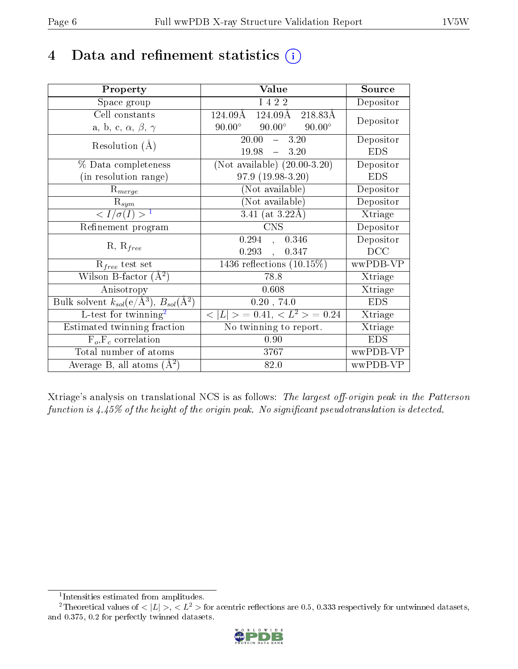# 4 Data and refinement statistics  $(i)$

| Property                                                         | Value                                             | Source                       |
|------------------------------------------------------------------|---------------------------------------------------|------------------------------|
| Space group                                                      | I 4 2 2                                           | Depositor                    |
| Cell constants                                                   | 124.09Å<br>$124.09\text{\AA}$<br>218.83Å          | Depositor                    |
| a, b, c, $\alpha$ , $\beta$ , $\gamma$                           | $90.00^\circ$<br>$90.00^{\circ}$<br>$90.00^\circ$ |                              |
| Resolution $(A)$                                                 | 20.00<br>$-3.20$                                  | Depositor                    |
|                                                                  | 19.98<br>$-3.20$                                  | <b>EDS</b>                   |
| % Data completeness                                              | (Not available) $(20.00-3.20)$                    | Depositor                    |
| (in resolution range)                                            | 97.9 (19.98-3.20)                                 | <b>EDS</b>                   |
| $R_{merge}$                                                      | (Not available)                                   | Depositor                    |
| $\mathrm{R}_{sym}$                                               | (Not available)                                   | Depositor                    |
| $\langle I/\sigma(I) \rangle^{-1}$                               | $3.41$ (at $3.22\text{\AA}$ )                     | $\overline{\text{X}}$ triage |
| Refinement program                                               | <b>CNS</b>                                        | Depositor                    |
|                                                                  | 0.294<br>0.346<br>$\mathbf{A}$                    | Depositor                    |
| $R, R_{free}$                                                    | $0.293$ ,<br>0.347                                | DCC                          |
| $\mathcal{R}_{free}$ test set                                    | 1436 reflections $(10.15\%)$                      | wwPDB-VP                     |
| Wilson B-factor $(A^2)$                                          | 78.8                                              | Xtriage                      |
| Anisotropy                                                       | 0.608                                             | Xtriage                      |
| Bulk solvent $k_{sol}(\text{e}/\text{A}^3), B_{sol}(\text{A}^2)$ | 0.20, 74.0                                        | <b>EDS</b>                   |
| L-test for twinning <sup>2</sup>                                 | $< L >$ = 0.41, $< L2$ > = 0.24                   | Xtriage                      |
| Estimated twinning fraction                                      | No twinning to report.                            | Xtriage                      |
| $F_o, F_c$ correlation                                           | 0.90                                              | <b>EDS</b>                   |
| Total number of atoms                                            | 3767                                              | wwPDB-VP                     |
| Average B, all atoms $(A^2)$                                     | 82.0                                              | wwPDB-VP                     |

Xtriage's analysis on translational NCS is as follows: The largest off-origin peak in the Patterson function is  $4.45\%$  of the height of the origin peak. No significant pseudotranslation is detected.

<sup>&</sup>lt;sup>2</sup>Theoretical values of  $\langle |L| \rangle$ ,  $\langle L^2 \rangle$  for acentric reflections are 0.5, 0.333 respectively for untwinned datasets, and 0.375, 0.2 for perfectly twinned datasets.



<span id="page-5-1"></span><span id="page-5-0"></span><sup>1</sup> Intensities estimated from amplitudes.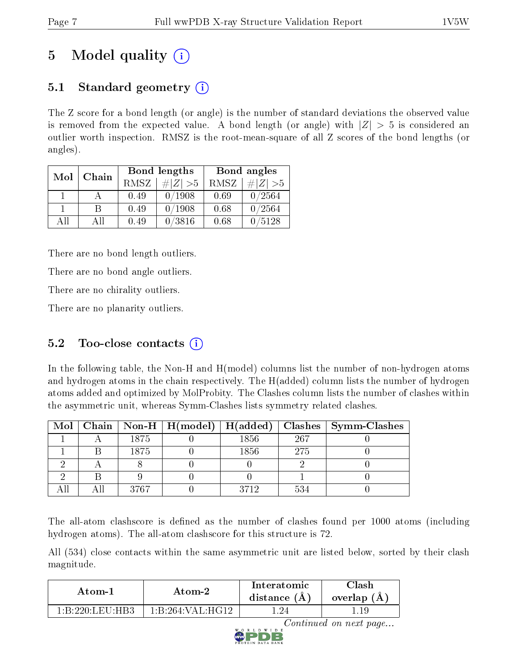# 5 Model quality  $(i)$

## 5.1 Standard geometry  $(i)$

The Z score for a bond length (or angle) is the number of standard deviations the observed value is removed from the expected value. A bond length (or angle) with  $|Z| > 5$  is considered an outlier worth inspection. RMSZ is the root-mean-square of all Z scores of the bond lengths (or angles).

| Mol | Chain |             | Bond lengths | Bond angles |             |
|-----|-------|-------------|--------------|-------------|-------------|
|     |       | <b>RMSZ</b> | $\# Z  > 5$  | RMSZ        | $\ Z\  > 5$ |
|     |       | 0.49        | 0/1908       | 0.69        | 0/2564      |
|     | В     | 0.49        | 0/1908       | 0.68        | 0/2564      |
| AH  | Αll   | 0.49        | 0/3816       | 0.68        | /5128       |

There are no bond length outliers.

There are no bond angle outliers.

There are no chirality outliers.

There are no planarity outliers.

## $5.2$  Too-close contacts  $(i)$

In the following table, the Non-H and H(model) columns list the number of non-hydrogen atoms and hydrogen atoms in the chain respectively. The H(added) column lists the number of hydrogen atoms added and optimized by MolProbity. The Clashes column lists the number of clashes within the asymmetric unit, whereas Symm-Clashes lists symmetry related clashes.

|  |      |      |     | Mol   Chain   Non-H   H(model)   H(added)   Clashes   Symm-Clashes |
|--|------|------|-----|--------------------------------------------------------------------|
|  | 1875 | 1856 | 267 |                                                                    |
|  | 1875 | 1856 | 275 |                                                                    |
|  |      |      |     |                                                                    |
|  |      |      |     |                                                                    |
|  | 3767 | 3712 | 534 |                                                                    |

The all-atom clashscore is defined as the number of clashes found per 1000 atoms (including hydrogen atoms). The all-atom clashscore for this structure is 72.

All (534) close contacts within the same asymmetric unit are listed below, sorted by their clash magnitude.

| Atom-1           | Atom-2             | Interatomic<br>distance $(A)$ | <b>Clash</b><br>overlap (A) |
|------------------|--------------------|-------------------------------|-----------------------------|
| 1 R 990 I FILHR3 | 1: B:264: VAL:HG12 |                               |                             |

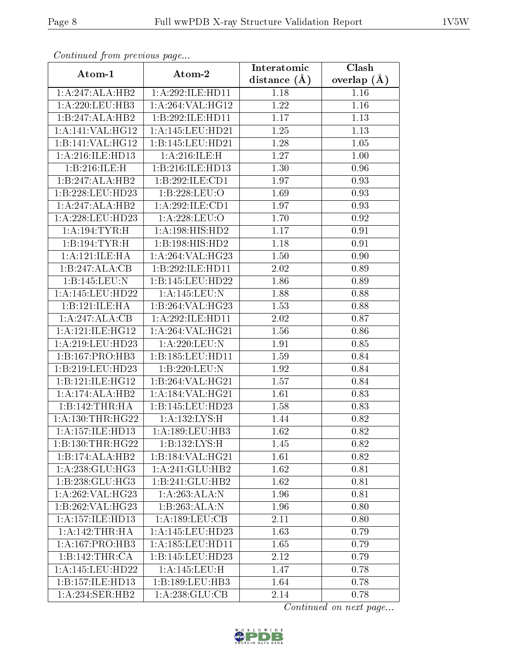| Continuea from previous page          |                              | Interatomic    | Clash             |
|---------------------------------------|------------------------------|----------------|-------------------|
| Atom-1                                | Atom-2                       | distance $(A)$ | overlap $(A)$     |
| 1:A:247:ALA:HB2                       | 1:A:292:ILE:HD11             | 1.18           | 1.16              |
| $1: A:220: \overline{\text{LEU:HB3}}$ | 1:A:264:VAL:HG12             | 1.22           | $1.16\,$          |
| 1:B:247:ALA:HB2                       | 1:B:292:ILE:HD11             | 1.17           | 1.13              |
| 1:A:141:VAL:HG12                      | 1:A:145:LEU:HD21             | 1.25           | 1.13              |
| 1:B:141:VAL:HG12                      | 1:B:145:LEU:HD21             | 1.28           | 1.05              |
| 1:A:216:ILE:HD13                      | 1: A:216: ILE:H              | 1.27           | 1.00              |
| 1:B:216:ILE:H                         | 1:B:216:ILE:HD13             | 1.30           | 0.96              |
| 1:B:247:ALA:HB2                       | 1:B:292:ILE:CD1              | 1.97           | 0.93              |
| 1:B:228:LEU:HD23                      | 1:B:228:LEU:O                | 1.69           | 0.93              |
| 1:A:247:ALA:HB2                       | 1: A:292: ILE: CD1           | 1.97           | 0.93              |
| 1: A:228:LEU:HD23                     | 1: A:228:LEU:O               | 1.70           | 0.92              |
| 1: A: 194: TYR:H                      | $1:A:198:HI\overline{S:HD2}$ | 1.17           | 0.91              |
| 1:B:194:TYR:H                         | 1:B:198:HIS:HD2              | 1.18           | 0.91              |
| 1: A: 121: ILE: HA                    | 1:A:264:VAL:HG23             | 1.50           | 0.90              |
| 1:B:247:ALA:CB                        | 1:B:292:ILE:HD11             | 2.02           | 0.89              |
| 1:B:145:LEU:N                         | 1:B:145:LEU:HD22             | 1.86           | 0.89              |
| 1: A:145: LEU: HD22                   | 1: A:145:LEU:N               | 1.88           | 0.88              |
| 1:B:121:ILE:HA                        | 1:B:264:VAL:HG23             | 1.53           | 0.88              |
| 1:A:247:ALA:CB                        | 1:A:292:ILE:HD11             | 2.02           | $\overline{0.87}$ |
| 1: A: 121: ILE: HG12                  | 1:A:264:VAL:HG21             | 1.56           | 0.86              |
| 1:A:219:LEU:HD23                      | 1:A:220:LEU:N                | 1.91           | 0.85              |
| 1:B:167:PRO:HB3                       | 1:B:185:LEU:HD11             | 1.59           | 0.84              |
| 1:B:219:LEU:HD23                      | 1:B:220:LEU:N                | 1.92           | 0.84              |
| 1:B:121:ILE:HG12                      | 1:B:264:VAL:HG21             | 1.57           | 0.84              |
| 1:A:174:ALA:HB2                       | 1:A:184:VAL:HG21             | 1.61           | 0.83              |
| 1:B:142:THR:HA                        | 1:B:145:LEU:HD23             | 1.58           | 0.83              |
| 1: A: 130: THR: HG22                  | 1:A:132:LYS:H                | 1.44           | 0.82              |
| 1:A:157:ILE:HD13                      | 1: A: 189: LEU: HB3          | 1.62           | 0.82              |
| 1:B:130:THR:HG22                      | 1:B:132:LYS:H                | 1.45           | 0.82              |
| 1:B:174:ALA:HB2                       | 1:B:184:VAL:HG21             | 1.61           | 0.82              |
| 1: A:238: GLU:HG3                     | 1:A:241:GLU:HB2              | 1.62           | 0.81              |
| 1:B:238:GLU:HG3                       | 1:B:241:GLU:HB2              | 1.62           | 0.81              |
| 1: A:262: VAL:HG23                    | 1:A:263:ALA:N                | 1.96           | 0.81              |
| 1:B:262:VAL:HG23                      | 1:B:263:ALA:N                | 1.96           | 0.80              |
| 1:A:157:ILE:HD13                      | 1: A: 189: LEU: CB           | 2.11           | 0.80              |
| 1:A:142:THR:HA                        | 1:A:145:LEU:HD23             | 1.63           | 0.79              |
| 1: A: 167: PRO: HB3                   | 1: A: 185: LEU: HD11         | 1.65           | 0.79              |
| 1:B:142:THR:CA                        | 1:B:145:LEU:HD23             | 2.12           | 0.79              |
| 1:A:145:LEU:HD22                      | 1:A:145:LEU:H                | 1.47           | 0.78              |
| 1:B:157:ILE:HD13                      | 1:B:189:LEU:HB3              | 1.64           | 0.78              |
| 1: A:234: SER: HB2                    | 1: A:238: GLU:CB             | 2.14           | 0.78              |

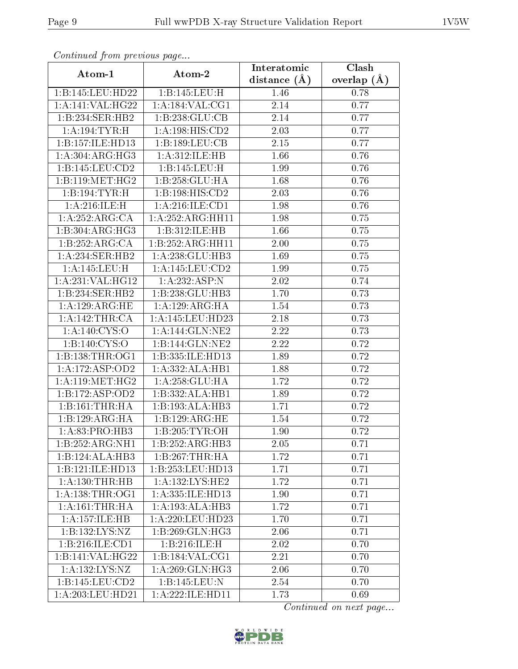| Comunaca jiom previous page  |                             | Interatomic      | Clash         |
|------------------------------|-----------------------------|------------------|---------------|
| Atom-1                       | Atom-2                      | distance $(\AA)$ | overlap $(A)$ |
| 1:B:145:LEU:HD22             | 1:B:145:LEU:H               | 1.46             | 0.78          |
| 1:A:141:VAL:HG22             | 1: A:184: VAL: CG1          | 2.14             | 0.77          |
| 1:B:234:SER:HB2              | 1:B:238:GLU:CB              | 2.14             | 0.77          |
| 1: A:194: TYR:H              | 1: A: 198: HIS: CD2         | 2.03             | 0.77          |
| 1:B:157:ILE:HD13             | 1:B:189:LEU:CB              | 2.15             | 0.77          |
| 1: A:304: ARG: HG3           | 1: A:312: ILE: HB           | 1.66             | 0.76          |
| 1:B:145:LEU:CD2              | 1:B:145:LEU:H               | 1.99             | 0.76          |
| 1:B:119:MET:HG2              | 1:B:258:GLU:HA              | 1.68             | 0.76          |
| 1:B:194:TYR:H                | 1:B:198:HIS:CD2             | 2.03             | 0.76          |
| 1: A:216: ILE:H              | 1: A:216: ILE: CD1          | 1.98             | 0.76          |
| 1:A:252:ARG:CA               | 1:A:252:ARG:HH11            | 1.98             | 0.75          |
| 1:B:304:ARG:HG3              | 1:B:312:ILE:HB              | 1.66             | 0.75          |
| 1:B:252:ARG:CA               | 1:B:252:ARG:HH11            | 2.00             | 0.75          |
| 1: A:234: SER: HB2           | 1:A:238:GLU:HB3             | 1.69             | 0.75          |
| 1:A:145:LEU:H                | 1:A:145:LEU:CD2             | 1.99             | 0.75          |
| 1:A:231:VAL:HG12             | 1:A:232:ASP:N               | 2.02             | 0.74          |
| 1:B:234:SER:HB2              | 1:B:238:GLU:HB3             | 1.70             | 0.73          |
| 1: A:129: ARG: HE            | $1:A:129:ARG:\overline{HA}$ | 1.54             | 0.73          |
| 1: A:142:THR:CA              | 1:A:145:LEU:HD23            | 2.18             | 0.73          |
| 1: A:140: CYS:O              | 1: A:144: GLN:NE2           | 2.22             | 0.73          |
| 1:B:140:C <sub>YS:C</sub>    | 1:B:144:GLN:NE2             | 2.22             | 0.72          |
| 1:B:138:THR:OG1              | 1:B:335:ILE:HD13            | 1.89             | 0.72          |
| 1:A:172:ASP:OD2              | 1:A:332:ALA:HB1             | 1.88             | 0.72          |
| 1: A:119:MET:HG2             | 1: A:258: GLU:HA            | 1.72             | 0.72          |
| 1:B:172:ASP:OD2              | 1:B:332:ALA:HB1             | 1.89             | 0.72          |
| 1:B:161:THR:HA               | 1:B:193:ALA:HB3             | 1.71             | 0.72          |
| 1:B:129:ARG:HA               | 1:B:129:ARG:HE              | 1.54             | 0.72          |
| 1: A:83: PRO:HB3             | 1:B:205:TYR:OH              | 1.90             | 0.72          |
| 1:B:252:ARG:NH1              | 1:B:252:ARG:HB3             | 2.05             | 0.71          |
| $1:B:124:AL\overline{A:HB3}$ | 1:B:267:THR:HA              | 1.72             | 0.71          |
| 1:B:121:ILE:HD13             | 1:B:253:LEU:HD13            | 1.71             | 0.71          |
| 1:A:130:THR:HB               | 1:A:132:LYS:HE2             | 1.72             | 0.71          |
| 1: A: 138: THR: OG1          | 1:A:335:ILE:HD13            | 1.90             | 0.71          |
| 1: A:161:THR:HA              | 1:A:193:ALA:HB3             | 1.72             | 0.71          |
| 1:A:157:ILE:HB               | 1: A:220:LEU:HD23           | 1.70             | 0.71          |
| 1:B:132:LYS:NZ               | 1:B:269:GLN:HG3             | 2.06             | 0.71          |
| 1:B:216:ILE:CD1              | 1:B:216:ILE:H               | 2.02             | 0.70          |
| 1:B:141:VAL:HG22             | 1:B:184:VAL:CG1             | 2.21             | 0.70          |
| 1:A:132:LYS:NZ               | 1: A:269: GLN: HG3          | 2.06             | 0.70          |
| 1:B:145:LEU:CD2              | 1:B:145:LEU:N               | 2.54             | 0.70          |
| 1:A:203:LEU:HD21             | 1:A:222:ILE:HD11            | 1.73             | 0.69          |

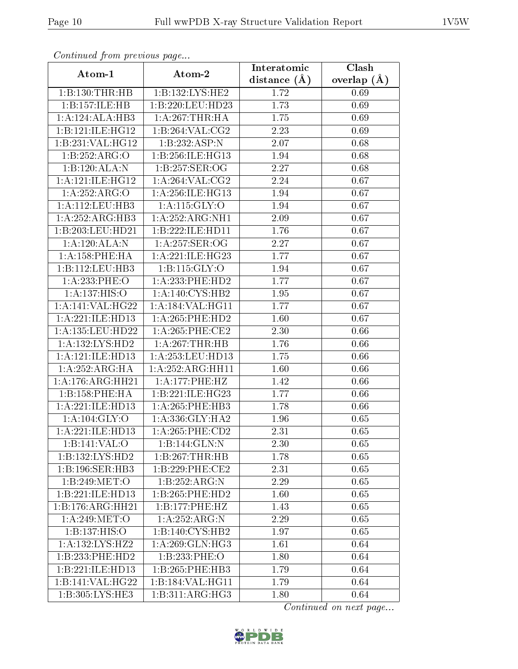| Comunaca jiom previous page |                            | Interatomic    | Clash         |
|-----------------------------|----------------------------|----------------|---------------|
| Atom-1                      | Atom-2                     | distance $(A)$ | overlap $(A)$ |
| 1:B:130:THR:HB              | 1:B:132:LYS:HE2            | 1.72           | 0.69          |
| 1:B:157:ILE:HB              | 1:B:220:LEU:HD23           | 1.73           | 0.69          |
| 1:A:124:ALA:HB3             | 1: A:267:THR:HA            | 1.75           | 0.69          |
| 1:B:121:ILE:HG12            | 1:B:264:VAL:CG2            | 2.23           | 0.69          |
| 1:B:231:VAL:HG12            | 1:B:232:ASP:N              | 2.07           | 0.68          |
| 1:B:252:ARG:O               | 1:B:256:ILE:HG13           | 1.94           | 0.68          |
| 1:B:120:ALA:N               | 1:B:257:SER:OG             | 2.27           | 0.68          |
| 1: A:121: ILE: HG12         | 1: A:264:VAL: CG2          | 2.24           | 0.67          |
| 1:A:252:ARG:O               | 1: A:256: ILE: HG13        | 1.94           | 0.67          |
| 1:A:112:LEU:HB3             | 1:A:115:GLY:O              | 1.94           | 0.67          |
| 1:A:252:ARG:HB3             | 1:A:252:ARG:NH1            | 2.09           | 0.67          |
| 1:B:203:LEU:HD21            | 1:B:222:ILE:HD11           | 1.76           | 0.67          |
| 1:A:120:ALA:N               | 1:A:257:SER:OG             | 2.27           | 0.67          |
| 1: A:158:PHE:HA             | 1:A:221:ILE:HG23           | 1.77           | 0.67          |
| 1:B:112:LEU:HB3             | 1:B:115:GLY:O              | 1.94           | 0.67          |
| 1:A:233:PHE:O               | 1:A:233:PHE:HD2            | 1.77           | 0.67          |
| 1:A:137:HIS:O               | 1: A:140: CYS:HB2          | 1.95           | 0.67          |
| 1:A:141:VAL:HG22            | 1:A:184:VAL:HG11           | 1.77           | 0.67          |
| 1:A:221:ILE:HD13            | 1: A:265:PHE:HD2           | 1.60           | 0.67          |
| 1: A: 135: LEU: HD22        | 1: A:265:PHE:CE2           | 2.30           | 0.66          |
| 1: A: 132: LYS: HD2         | 1: A:267:THR:HB            | 1.76           | 0.66          |
| 1:A:121:ILE:HD13            | 1:A:253:LEU:HD13           | 1.75           | 0.66          |
| 1: A:252: ARG: HA           | 1: A:252:ARG:HH11          | 1.60           | 0.66          |
| 1:A:176:ARG:HH21            | 1:A:177:PHE:HZ             | 1.42           | 0.66          |
| 1:B:158:PHE:HA              | 1:B:221:ILE:HG23           | 1.77           | 0.66          |
| 1:A:221:ILE:HD13            | 1:A:265:PHE:HB3            | 1.78           | 0.66          |
| 1: A: 104: GLY: O           | 1:A:336:GLY:HA2            | 1.96           | 0.65          |
| 1:A:221:ILE:HD13            | $1: A:265:$ PHE:CD2        | 2.31           | 0.65          |
| 1:B:141:VAL:O               | $1:B:144:GLN:\overline{N}$ | 2.30           | 0.65          |
| 1:B:132:LYS:HD2             | 1:B:267:THR:HB             | 1.78           | 0.65          |
| 1:B:196:SER:HB3             | 1:B:229:PHE:CE2            | 2.31           | 0.65          |
| 1:B:249:MET:O               | 1:B:252:ARG:N              | 2.29           | 0.65          |
| 1:B:221:ILE:HD13            | 1:B:265:PHE:HD2            | 1.60           | 0.65          |
| 1:B:176:ARG:HH21            | 1:B:177:PHE:HZ             | 1.43           | 0.65          |
| 1:A:249:MET:O               | 1:A:252:ARG:N              | 2.29           | 0.65          |
| 1:B:137:HIS:O               | 1:B:140:CYS:HB2            | 1.97           | 0.65          |
| 1:A:132:LYS:HZ2             | 1: A:269: GLN: HG3         | 1.61           | 0.64          |
| 1:B:233:PHE:HD2             | 1:B:233:PHE:O              | 1.80           | 0.64          |
| 1:B:221:ILE:HD13            | 1:B:265:PHE:HB3            | 1.79           | 0.64          |
| 1:B:141:VAL:HG22            | 1:B:184:VAL:HG11           | 1.79           | 0.64          |
| 1:B:305:LYS:HE3             | 1:B:311:ARG:HG3            | 1.80           | 0.64          |

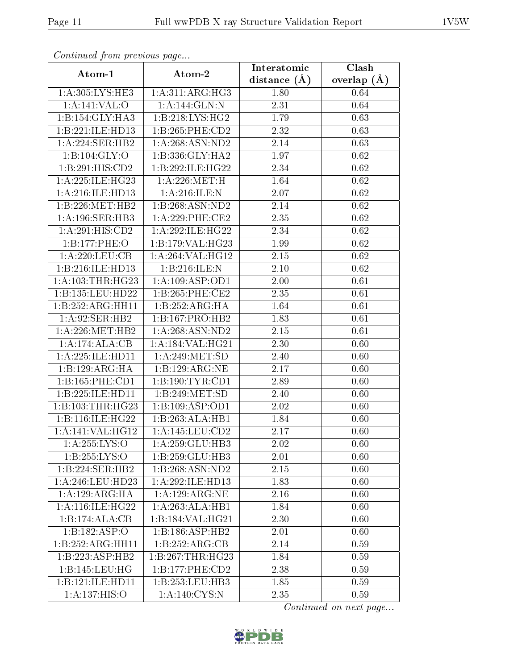| Continuea from previous page |                     | Interatomic       | Clash           |
|------------------------------|---------------------|-------------------|-----------------|
| Atom-1                       | Atom-2              | distance $(\AA)$  | overlap $(\AA)$ |
| 1:A:305:LYS:HE3              | 1: A:311:ARG:HG3    | 1.80              | 0.64            |
| 1:A:141:VAL:O                | 1:A:144:GLN:N       | 2.31              | 0.64            |
| 1:B:154:GLY:HA3              | 1:B:218:LYS:HG2     | 1.79              | 0.63            |
| 1:B:221:ILE:HD13             | 1:B:265:PHE:CD2     | $\overline{2}.32$ | 0.63            |
| 1:A:224:SER:HB2              | 1:A:268:ASN:ND2     | 2.14              | 0.63            |
| 1: B: 104: GLY:O             | 1:B:336:GLY:HA2     | 1.97              | 0.62            |
| 1:B:291:HIS:CD2              | 1:B:292:ILE:HG22    | 2.34              | 0.62            |
| 1:A:225:ILE:HG23             | 1: A:226:MET:H      | 1.64              | 0.62            |
| 1:A:216:ILE:HD13             | 1: A:216: ILE:N     | 2.07              | 0.62            |
| 1:B:226:MET:HB2              | 1:B:268:ASN:ND2     | 2.14              | 0.62            |
| 1: A:196: SER: HB3           | $1: A:229:$ PHE:CE2 | 2.35              | 0.62            |
| 1:A:291:HIS:CD2              | 1:A:292:ILE:HG22    | 2.34              | 0.62            |
| 1:B:177:PHE:O                | 1:B:179:VAL:H G23   | 1.99              | 0.62            |
| 1: A:220: LEU: CB            | 1:A:264:VAL:HG12    | 2.15              | 0.62            |
| 1:B:216:ILE:HD13             | 1:B:216:ILE:N       | 2.10              | 0.62            |
| 1: A: 103: THR: HG23         | 1: A:109: ASP:OD1   | 2.00              | 0.61            |
| 1:B:135:LEU:HD22             | 1:B:265:PHE:CE2     | 2.35              | 0.61            |
| 1:B:252:ARG:HH11             | 1:B:252:ARG:HA      | 1.64              | 0.61            |
| 1:A:92:SER:HB2               | 1:B:167:PRO:HB2     | 1.83              | 0.61            |
| 1: A:226: MET:HB2            | 1:A:268:ASN:ND2     | 2.15              | 0.61            |
| 1:A:174:ALA:CB               | 1:A:184:VAL:HG21    | 2.30              | 0.60            |
| 1:A:225:ILE:HD11             | 1: A:249:MET:SD     | 2.40              | 0.60            |
| 1:B:129:ARG:HA               | 1:B:129:ARG:NE      | 2.17              | 0.60            |
| 1:B:165:PHE:CD1              | 1:B:190:TYR:CD1     | 2.89              | 0.60            |
| 1:B:225:ILE:HD11             | 1:B:249:MET:SD      | 2.40              | 0.60            |
| 1:B:103:THR:HG23             | 1:B:109:ASP:OD1     | 2.02              | 0.60            |
| 1:B:116:ILE:HG22             | 1:B:263:ALA:HB1     | 1.84              | 0.60            |
| 1:A:141:VAL:HG12             | 1:A:145:LEU:CD2     | 2.17              | 0.60            |
| 1:A:255:LYS:O                | 1:A:259:GLU:HB3     | 2.02              | 0.60            |
| 1:B:255:LYS:O                | 1:B:259:GLU:HB3     | 2.01              | 0.60            |
| 1:B:224:SER:HB2              | 1:B:268:ASN:ND2     | 2.15              | 0.60            |
| 1: A:246:LEU:HD23            | 1:A:292:ILE:HD13    | 1.83              | 0.60            |
| 1:A:129:ARG:HA               | 1:A:129:ARG:NE      | 2.16              | 0.60            |
| 1:A:116:ILE:HG22             | 1:A:263:ALA:HB1     | 1.84              | 0.60            |
| 1:B:174:ALA:CB               | 1:B:184:VAL:HG21    | 2.30              | 0.60            |
| 1:B:182:ASP:O                | 1:B:186:ASP:HB2     | 2.01              | 0.60            |
| 1:B:252:ARG:HH11             | 1: B: 252: ARG: CB  | 2.14              | 0.59            |
| 1:B:223:ASP:HB2              | 1:B:267:THR:HG23    | 1.84              | 0.59            |
| 1:B:145:LEU:HG               | 1: B: 177: PHE: CD2 | 2.38              | 0.59            |
| 1:B:121:ILE:HD11             | 1:B:253:LEU:HB3     | 1.85              | 0.59            |
| 1:A:137:HIS:O                | 1: A:140: CYS:N     | 2.35              | 0.59            |

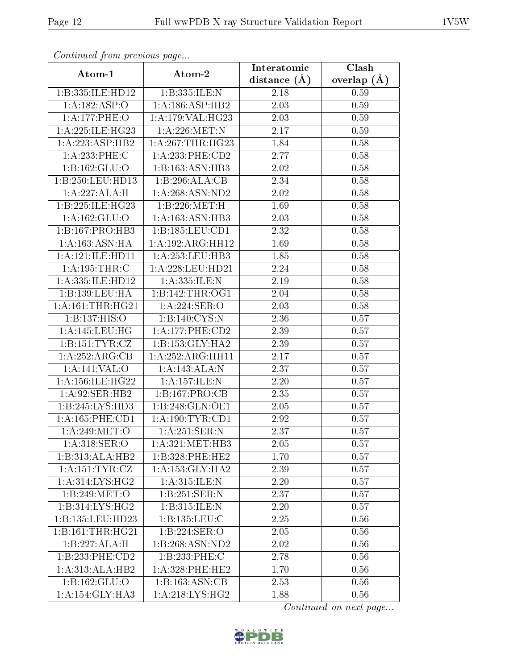| Continued from previous page |                      | Interatomic    | Clash           |
|------------------------------|----------------------|----------------|-----------------|
| Atom-1                       | Atom-2               | distance $(A)$ | overlap $(\AA)$ |
| 1:B:335:ILE:HD12             | 1:B:335:ILE:N        | 2.18           | 0.59            |
| 1:A:182:ASP:O                | 1:A:186:ASP:HB2      | 2.03           | 0.59            |
| 1:A:177:PHE:O                | 1:A:179:VAL:HG23     | 2.03           | 0.59            |
| 1: A:225: ILE: HG23          | $1:$ A:226:MET:N     | 2.17           | 0.59            |
| 1:A:223:ASP:HB2              | 1: A:267:THR:HG23    | 1.84           | 0.58            |
| 1:A:233:PHE:C                | 1: A:233:PHE:CD2     | 2.77           | 0.58            |
| 1:B:162:GLU:O                | 1:B:163:ASN:HB3      | 2.02           | 0.58            |
| 1:B:250:LEU:HD13             | 1:B:296:ALA:CB       | 2.34           | 0.58            |
| 1:A:227:ALA:H                | 1:A:268:ASN:ND2      | 2.02           | 0.58            |
| 1:B:225:ILE:HG23             | 1:B:226:MET:H        | 1.69           | 0.58            |
| 1:A:162:GLU:O                | 1: A: 163: ASN: HB3  | 2.03           | 0.58            |
| 1:B:167:PRO:HB3              | 1: B: 185: LEU: CD1  | 2.32           | 0.58            |
| 1: A: 163: ASN: HA           | 1: A: 192: ARG: HH12 | 1.69           | 0.58            |
| 1:A:121:ILE:HDI1             | 1:A:253:LEU:HB3      | 1.85           | 0.58            |
| 1: A: 195: THR: C            | 1:A:228:LEU:HD21     | 2.24           | 0.58            |
| 1:A:335:ILE:HD12             | 1:A:335:ILE:N        | 2.19           | 0.58            |
| 1:B:139:LEU:HA               | 1:B:142:THR:OG1      | 2.04           | 0.58            |
| 1: A:161:THR:HG21            | 1:A:224:SER:O        | $2.03\,$       | 0.58            |
| 1:B:137:HIS:O                | 1:B:140:CYS:N        | 2.36           | 0.57            |
| 1: A:145:LEU:HG              | 1: A: 177: PHE: CD2  | 2.39           | 0.57            |
| 1: B: 151: TYR: CZ           | 1: B: 153: GLY: HA2  | 2.39           | 0.57            |
| 1:A:252:ARG:CB               | 1: A:252:ARG:HH11    | 2.17           | 0.57            |
| 1:A:141:VAL:O                | 1:A:143:ALA:N        | 2.37           | 0.57            |
| 1:A:156:ILE:HG22             | 1:A:157:ILE:N        | 2.20           | 0.57            |
| 1: A:92: SER: HB2            | 1:B:167:PRO:CB       | 2.35           | 0.57            |
| 1:B:245:LYS:HD3              | 1:B:248:GLN:OE1      | 2.05           | 0.57            |
| 1:A:165:PHE:CD1              | 1: A:190: TYR: CD1   | 2.92           | 0.57            |
| 1: A:249:MET:O               | 1:A:251:SER:N        | 2.37           | 0.57            |
| 1:A:318:SER:O                | 1: A:321: MET:HB3    | 2.05           | 0.57            |
| 1:B:313:ALA:HB2              | 1:B:328:PHE:HE2      | 1.70           | 0.57            |
| 1: A:151:TYR:CZ              | 1: A: 153: GLY: HA2  | 2.39           | 0.57            |
| 1:A:314:LYS:HG2              | 1:A:315:ILE:N        | 2.20           | 0.57            |
| 1:B:249:MET:O                | 1:B:251:SER:N        | 2.37           | 0.57            |
| 1:B:314:LYS:HG2              | 1:B:315:ILE:N        | 2.20           | 0.57            |
| 1:B:135:LEU:HD23             | 1:B:135:LEU:C        | 2.25           | 0.56            |
| 1:B:161:THR:HG21             | 1:B:224:SER:O        | 2.05           | 0.56            |
| 1:B:227:ALA:H                | 1:B:268:ASN:ND2      | 2.02           | 0.56            |
| 1:B:233:PHE:CD2              | 1:B:233:PHE:C        | 2.78           | 0.56            |
| 1:A:313:ALA:HB2              | $1: A:328:$ PHE:HE2  | 1.70           | 0.56            |
| 1:B:162:GLU:O                | 1:B:163:ASN:CB       | 2.53           | 0.56            |
| 1: A:154: GLY:HA3            | 1: A:218:LYS:HG2     | 1.88           | 0.56            |

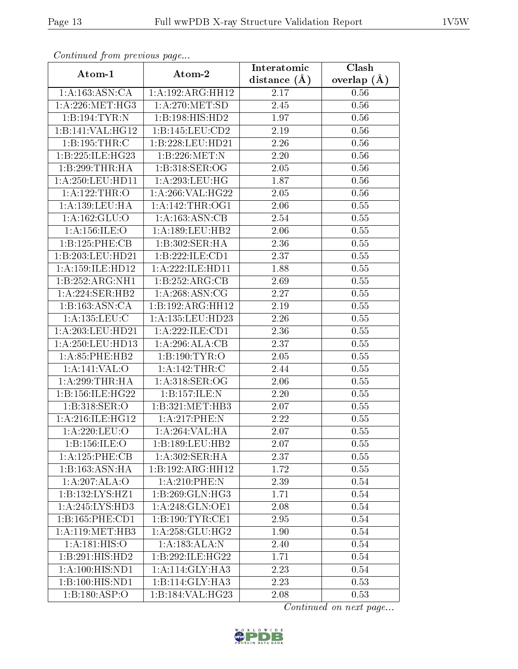| Continuea from previous page |                    | Interatomic    | Clash           |
|------------------------------|--------------------|----------------|-----------------|
| Atom-1                       | Atom-2             | distance $(A)$ | overlap $(\AA)$ |
| 1:A:163:ASN:CA               | 1:A:192:ARG:HH12   | 2.17           | 0.56            |
| 1: A:226: MET:HG3            | 1: A:270:MET:SD    | 2.45           | 0.56            |
| 1:B:194:TYR:N                | 1:B:198:HIS:HD2    | 1.97           | 0.56            |
| 1:B:141:VAL:HG12             | 1:B:145:LEU:CD2    | 2.19           | 0.56            |
| 1:B:195:THR:C                | 1:B:228:LEU:HD21   | 2.26           | 0.56            |
| 1:B:225:ILE:HG23             | 1:B:226:MET:N      | 2.20           | 0.56            |
| 1:B:299:THR:HA               | 1:B:318:SER:OG     | 2.05           | 0.56            |
| 1:A:250:LEU:HD11             | 1: A:293:LEU:HG    | 1.87           | 0.56            |
| 1: A: 122: THR:O             | 1:A:266:VAL:HG22   | 2.05           | 0.56            |
| 1: A: 139: LEU: HA           | 1: A:142:THR:OG1   | 2.06           | 0.55            |
| 1: A: 162: GLU:O             | 1:A:163:ASN:CB     | 2.54           | 0.55            |
| 1: A: 156: ILE: O            | 1:A:189:LEU:HB2    | 2.06           | 0.55            |
| 1:B:125:PHE:CB               | 1:B:302:SER:HA     | 2.36           | 0.55            |
| 1:B:203:LEU:HD21             | 1:B:222:ILE:CD1    | 2.37           | 0.55            |
| 1:A:159:ILE:HD12             | 1:A:222:ILE:HD11   | 1.88           | 0.55            |
| 1:B:252:ARG:NH1              | 1:B:252:ARG:CB     | 2.69           | 0.55            |
| 1:A:224:SER:HB2              | 1: A:268:ASN:CG    | 2.27           | 0.55            |
| 1:B:163:ASN:CA               | 1:B:192:ARG:HH12   | 2.19           | 0.55            |
| 1:A:135:LEU:C                | 1:A:135:LEU:HD23   | 2.26           | $0.55\,$        |
| 1: A:203:LEU:HD21            | 1: A:222: ILE: CD1 | 2.36           | 0.55            |
| 1:A:250:LEU:HD13             | 1:A:296:ALA:CB     | 2.37           | 0.55            |
| 1: A:85:PHE:HB2              | 1:B:190:TYR:O      | 2.05           | 0.55            |
| 1:A:141:VAL:O                | 1: A:142:THR:C     | 2.44           | 0.55            |
| 1:A:299:THR:HA               | 1: A:318: SER:OG   | 2.06           | 0.55            |
| 1:B:156:ILE:HG22             | 1:B:157:ILE:N      | 2.20           | 0.55            |
| 1:B:318:SER:O                | 1:B:321:MET:HB3    | 2.07           | 0.55            |
| 1: A:216: ILE: HG12          | 1:A:217:PHE:N      | 2.22           | 0.55            |
| 1:A:220:LEU:O                | 1:A:264:VAL:HA     | 2.07           | 0.55            |
| 1:B:156:ILE:O                | 1:B:189:LEU:HB2    | 2.07           | 0.55            |
| 1:A:125:PHE:CB               | 1: A:302: SER: HA  | 2.37           | 0.55            |
| 1:B:163:ASN:HA               | 1:B:192:ARG:HH12   | 1.72           | 0.55            |
| 1:A:207:ALA:O                | $1:A:210:$ PHE:N   | 2.39           | 0.54            |
| 1:B:132:LYS:HZ1              | 1: B:269: GLN: HG3 | 1.71           | 0.54            |
| 1:A:245:LYS:HD3              | 1: A:248: GLN:OE1  | 2.08           | 0.54            |
| 1:B:165:PHE:CD1              | 1:B:190:TYR:CE1    | 2.95           | 0.54            |
| 1: A:119:MET:HB3             | 1:A:258:GLU:HG2    | 1.90           | 0.54            |
| 1: A:181: HIS:O              | 1: A: 183: ALA: N  | 2.40           | 0.54            |
| 1:B:291:HIS:HD2              | 1:B:292:ILE:HG22   | 1.71           | 0.54            |
| 1: A:100: HIS: ND1           | 1: A:114: GLY:HA3  | 2.23           | 0.54            |
| $1:B:100:H\overline{1S:ND1}$ | 1:B:114:GLY:HA3    | 2.23           | 0.53            |
| 1:B:180:ASP:O                | 1:B:184:VAL:HG23   | 2.08           | 0.53            |

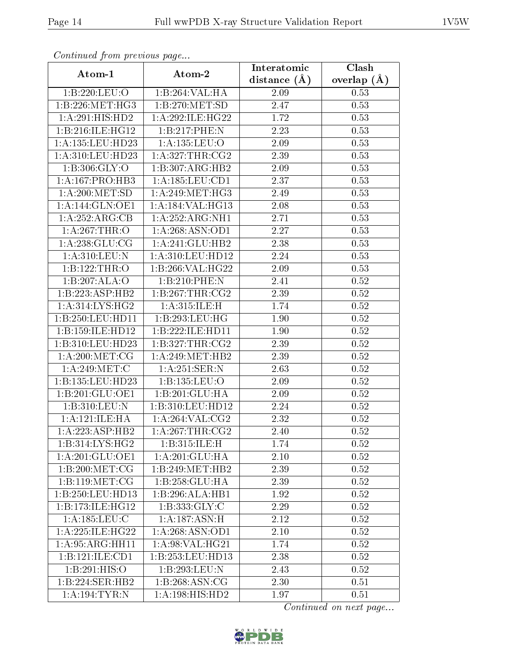| Comunaca jiom previous page |                                          | Interatomic    | Clash           |
|-----------------------------|------------------------------------------|----------------|-----------------|
| Atom-1                      | Atom-2                                   | distance $(A)$ | overlap $(\AA)$ |
| 1:B:220:LEU:O               | 1:B:264:VAL:HA                           | 2.09           | 0.53            |
| 1:B:226:MET:HG3             | 1:B:270:MET:SD                           | 2.47           | 0.53            |
| 1: A:291:HIS:HD2            | 1:A:292:ILE:HG22                         | 1.72           | 0.53            |
| 1:B:216:ILE:HG12            | 1:B:217:PHE:N                            | 2.23           | 0.53            |
| 1: A: 135: LEU: HD23        | 1:A:135:LEU:O                            | 2.09           | 0.53            |
| 1:A:310:LEU:HD23            | 1: A:327:THR:CG2                         | 2.39           | 0.53            |
| 1: B: 306: GLY:O            | 1:B:307:ARG:HB2                          | 2.09           | 0.53            |
| 1: A: 167: PRO: HB3         | 1:A:185:LEU:CD1                          | 2.37           | 0.53            |
| 1: A:200:MET:SD             | 1: A:249:MET:HG3                         | 2.49           | 0.53            |
| 1: A:144: GLN: OE1          | 1:A:184:VAL:HG13                         | 2.08           | 0.53            |
| 1:A:252:ARG:CB              | 1:A:252:ARG:NH1                          | 2.71           | 0.53            |
| 1:A:267:THR:O               | 1: A:268: ASN:OD1                        | 2.27           | 0.53            |
| 1: A:238: GLU:CG            | 1:A:241:GLU:HB2                          | 2.38           | 0.53            |
| 1: A:310: LEU: N            | 1: A:310: LEU: HD12                      | 2.24           | 0.53            |
| 1:B:122:THR:O               | 1:B:266:VAL:HG22                         | 2.09           | 0.53            |
| 1:B:207:ALA:O               | 1:B:210:PHE:N                            | 2.41           | 0.52            |
| 1:B:223:ASP:HB2             | 1:B:267:THR:CG2                          | 2.39           | 0.52            |
| 1: A:314: LYS: HG2          | 1:A:315:ILE:H                            | 1.74           | 0.52            |
| 1:B:250:LEU:HD11            | 1:B:293:LEU:HG                           | 1.90           | 0.52            |
| 1:B:159:ILE:HD12            | 1:B:222:ILE:HD11                         | 1.90           | 0.52            |
| 1:B:310:LEU:HD23            | 1:B:327:THR:CG2                          | 2.39           | 0.52            |
| 1: A:200:MET:CG             | 1: A:249:MET:HB2                         | 2.39           | 0.52            |
| 1: A:249:MET:C              | 1: A:251:SER:N                           | 2.63           | 0.52            |
| 1:B:135:LEU:HD23            | 1:B:135:LEU:O                            | 2.09           | $0.52\,$        |
| 1:B:201:GLU:OE1             | 1:B:201:GLU:HA                           | 2.09           | 0.52            |
| 1:B:310:LEU:N               | 1:B:310:LEU:HD12                         | 2.24           | 0.52            |
| 1: A:121: ILE: HA           | 1: A:264:VAL: CG2                        | 2.32           | 0.52            |
| 1:A:223:ASP:HB2             | $1:A:267$ : THR: $\overline{\text{CG2}}$ | 2.40           | 0.52            |
| 1:B:314:LYS:HG2             | 1:B:315:ILE:H                            | 1.74           | 0.52            |
| 1:A:201:GLU:OE1             | 1: A:201: GLU:HA                         | 2.10           | 0.52            |
| 1:B:200:MET:CG              | 1:B:249:MET:HB2                          | 2.39           | 0.52            |
| 1:B:119:MET:CG              | 1:B:258:GLU:HA                           | 2.39           | 0.52            |
| 1:B:250:LEU:HD13            | 1:B:296:ALA:HB1                          | 1.92           | 0.52            |
| 1:B:173:ILE:HG12            | 1: B: 333: GLY: C                        | 2.29           | 0.52            |
| $1:$ A:185:LEU:C            | 1: A:187: ASN:H                          | 2.12           | 0.52            |
| 1: A:225: ILE: HG22         | 1: A:268: ASN:OD1                        | 2.10           | 0.52            |
| 1:A:95:ARG:HH11             | 1: A:98: VAL:HG21                        | 1.74           | 0.52            |
| 1:B:121:ILE:CD1             | 1:B:253:LEU:HD13                         | 2.38           | 0.52            |
| 1:B:291:HIS:O               | 1:B:293:LEU:N                            | 2.43           | 0.52            |
| 1:B:224:SER:HB2             | 1:B:268:ASN:CG                           | 2.30           | 0.51            |
| 1: A: 194: TYR: N           | 1:A:198:HIS:HD2                          | 1.97           | 0.51            |

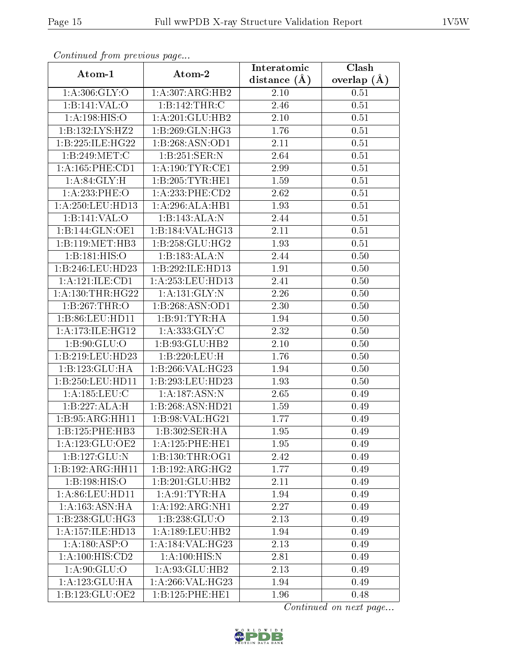| Continued from previous page |                      | Interatomic       | Clash         |
|------------------------------|----------------------|-------------------|---------------|
| Atom-1                       | Atom-2               | distance $(A)$    | overlap $(A)$ |
| 1: A:306: GLY:O              | 1:A:307:ARG:HB2      | 2.10              | 0.51          |
| 1:B:141:VAL:O                | 1:B:142:THR:C        | 2.46              | 0.51          |
| 1:A:198:HIS:O                | 1:A:201:GLU:HB2      | 2.10              | 0.51          |
| 1:B:132:LYS:HZ2              | 1:B:269:GLN:HG3      | 1.76              | 0.51          |
| 1:B:225:ILE:HG22             | 1:B:268:ASN:OD1      | 2.11              | 0.51          |
| 1:B:249:MET:C                | 1:B:251:SER:N        | $2.\overline{64}$ | 0.51          |
| 1: A: 165: PHE: CD1          | 1: A: 190: TYR: CE1  | 2.99              | 0.51          |
| 1: A:84: GLY:H               | 1:B:205:TYR:HE1      | 1.59              | 0.51          |
| 1:A:233:PHE:O                | 1: A:233:PHE:CD2     | 2.62              | 0.51          |
| 1: A:250:LEU:HD13            | 1:A:296:ALA:HB1      | 1.93              | 0.51          |
| 1:B:141:VAL:O                | 1:B:143:ALA:N        | 2.44              | 0.51          |
| 1:B:144:GLN:OE1              | 1:B:184:VAL:HG13     | 2.11              | 0.51          |
| 1:B:119:MET:HB3              | 1:B:258:GLU:HG2      | 1.93              | 0.51          |
| 1:B:181:HIS:O                | 1:B:183:ALA:N        | 2.44              | 0.50          |
| 1:B:246:LEU:HD23             | 1:B:292:ILE:HD13     | 1.91              | 0.50          |
| 1:A:121:ILE:CD1              | 1: A: 253: LEU: HD13 | 2.41              | 0.50          |
| 1: A: 130: THR: HG22         | 1: A: 131: GLY: N    | 2.26              | 0.50          |
| 1:B:267:THR:O                | 1:B:268:ASN:OD1      | 2.30              | 0.50          |
| 1:B:86:LEU:HD11              | 1:B:91:TYR:HA        | 1.94              | 0.50          |
| 1: A:173: ILE: HG12          | 1: A: 333: GLY: C    | 2.32              | 0.50          |
| 1: B:90: GLU:O               | 1:B:93:GLU:HB2       | 2.10              | 0.50          |
| 1:B:219:LEU:HD23             | 1:B:220:LEU:H        | 1.76              | 0.50          |
| 1:B:123:GLU:HA               | 1:B:266:VAL:HG23     | 1.94              | 0.50          |
| 1:B:250:LEU:HD11             | 1:B:293:LEU:HD23     | 1.93              | 0.50          |
| 1:A:185:LEU:C                | 1:A:187:ASN:N        | 2.65              | 0.49          |
| 1:B:227:ALA:H                | 1:B:268:ASN:HD21     | 1.59              | 0.49          |
| 1:B:95:ARG:HH11              | 1:B:98:VAL:HG21      | 1.77              | 0.49          |
| 1:B:125:PHE:HB3              | 1:B:302:SER:HA       | 1.95              | 0.49          |
| 1: A: 123: GLU: OE2          | 1: A: 125: PHE: HE1  | 1.95              | 0.49          |
| 1:B:127:GLU:N                | 1:B:130:THR:OG1      | 2.42              | 0.49          |
| 1:B:192:ARG:HH11             | 1:B:192:ARG:HG2      | 1.77              | 0.49          |
| 1:B:198:HIS:O                | 1:B:201:GLU:HB2      | 2.11              | 0.49          |
| 1: A:86: LEU: HD11           | 1: A:91: TYR: HA     | 1.94              | 0.49          |
| 1: A: 163: ASN: HA           | 1:A:192:ARG:NH1      | 2.27              | 0.49          |
| 1:B:238:GLU:HG3              | 1:B:238:GLU:O        | 2.13              | 0.49          |
| 1:A:157:ILE:HD13             | 1:A:189:LEU:HB2      | 1.94              | 0.49          |
| 1:A:180:ASP:O                | 1: A:184: VAL:HG23   | 2.13              | 0.49          |
| 1:A:100:HIS:CD2              | 1:A:100:HIS:N        | 2.81              | 0.49          |
| 1:A:90:GLU:O                 | 1:A:93:GLU:HB2       | 2.13              | 0.49          |
| 1:A:123:GLU:HA               | 1:A:266:VAL:HG23     | 1.94              | 0.49          |
| 1:B:123:GLU:OE2              | 1:B:125:PHE:HE1      | 1.96              | 0.48          |

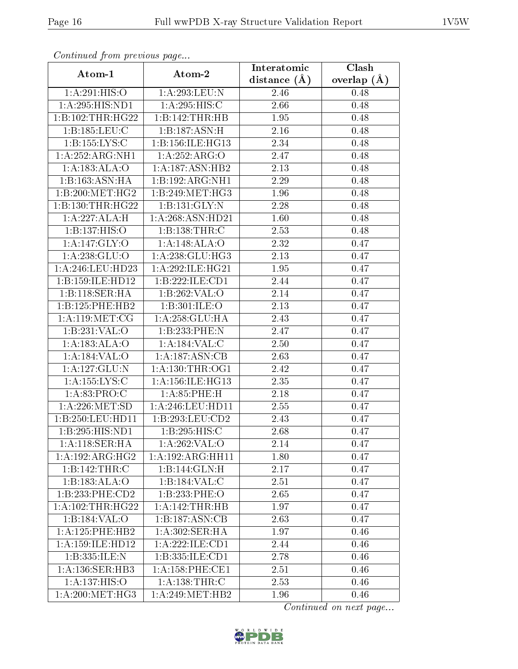| Continued from previous page            |                      | Interatomic       | Clash         |
|-----------------------------------------|----------------------|-------------------|---------------|
| Atom-1                                  | Atom-2               | distance $(\AA)$  | overlap $(A)$ |
| 1:A:291:HIS:O                           | 1:A:293:LEU:N        | 2.46              | 0.48          |
| 1:A:295:HIS:ND1                         | 1:A:295:HIS:C        | 2.66              | 0.48          |
| 1:B:102:THR:HG22                        | 1:B:142:THR:HB       | 1.95              | 0.48          |
| 1:B:185:LEU:C                           | 1:B:187:ASN:H        | 2.16              | 0.48          |
| 1:B:155:LYS:C                           | 1:B:156:ILE:HG13     | 2.34              | 0.48          |
| 1:A:252:ARG:NH1                         | 1:A:252:ARG:O        | 2.47              | 0.48          |
| 1:A:183:ALA:O                           | 1:A:187:ASN:HB2      | $\overline{2}.13$ | 0.48          |
| 1:B:163:ASN:HA                          | 1:B:192:ARG:NH1      | 2.29              | 0.48          |
| 1:B:200:MET:HG2                         | 1:B:249:MET:HG3      | 1.96              | 0.48          |
| 1:B:130:THR:HG22                        | 1:B:131:GLY:N        | 2.28              | 0.48          |
| 1:A:227:ALA:H                           | 1:A:268:ASN:HD21     | 1.60              | 0.48          |
| 1:B:137:HIS:O                           | 1: B: 138: THR: C    | 2.53              | 0.48          |
| 1: A:147: GLY:O                         | 1:A:148:ALA:O        | 2.32              | 0.47          |
| 1:A:238:GLU:O                           | 1:A:238:GLU:HG3      | 2.13              | 0.47          |
| 1: A:246:LEU:HD23                       | 1:A:292:ILE:HG21     | 1.95              | 0.47          |
| 1:B:159:ILE:HD12                        | 1:B:222:ILE:CD1      | 2.44              | 0.47          |
| 1:B:118:SER:HA                          | 1:B:262:VAL:O        | 2.14              | 0.47          |
| 1:B:125:PHE:HB2                         | 1: B:301: ILE:O      | 2.13              | 0.47          |
| 1: A: 119:MET:CG                        | 1: A:258: GLU:HA     | 2.43              | 0.47          |
| 1:B:231:VAL:O                           | 1:B:233:PHE:N        | 2.47              | 0.47          |
| 1:A:183:ALA:O                           | 1:A:184:VAL:C        | 2.50              | 0.47          |
| 1:A:184:VAL:O                           | 1:A:187:ASN:CB       | 2.63              | 0.47          |
| 1:A:127:GLU:N                           | 1: A: 130: THR: OG1  | 2.42              | 0.47          |
| 1:A:155:LYS:C                           | 1: A: 156: ILE: HG13 | $\overline{2.35}$ | 0.47          |
| 1: A:83: PRO:C                          | 1: A:85:PHE:H        | 2.18              | 0.47          |
| 1: A:226: MET:SD                        | 1: A:246:LEU:HD11    | 2.55              | 0.47          |
| 1:B:250:LEU:HDI1                        | 1:B:293:LEU:CD2      | 2.43              | 0.47          |
| $1: B: 295: HIS: \overline{ND1}$        | 1:B:295:HIS:C        | 2.68              | 0.47          |
| 1: A:118: SER: HA                       | 1:A:262:VAL:O        | 2.14              | 0.47          |
| 1:A:192:ARG:HG2                         | 1:A:192:ARG:HH11     | 1.80              | 0.47          |
| 1:B:142:THR:C                           | 1:B:144:GLN:H        | 2.17              | 0.47          |
| 1:B:183:ALA:O                           | 1:B:184:VAL:C        | 2.51              | 0.47          |
| 1:B:233:PHE:CD2                         | 1:B:233:PHE:O        | 2.65              | 0.47          |
| 1: A: 102: THR: HG22                    | 1: A:142:THR:HB      | 1.97              | 0.47          |
| 1:B:184:VAL:O                           | 1:B:187:ASN:CB       | 2.63              | 0.47          |
| 1: A: 125: PHE: HB2                     | 1:A:302:SER:HA       | 1.97              | 0.46          |
| 1: A:159: ILE: HD12                     | 1:A:222:ILE:CD1      | 2.44              | 0.46          |
| 1:B:335:ILE:N                           | 1:B:335:ILE:CD1      | 2.78              | 0.46          |
| 1: A:136: SER:HB3                       | 1:A:158:PHE:CE1      | 2.51              | 0.46          |
| 1:A:137:HIS:O                           | 1: A: 138: THR:C     | 2.53              | 0.46          |
| $1: A:200: \overline{\mathrm{MET:HG3}}$ | 1: A:249:MET:HB2     | 1.96              | 0.46          |

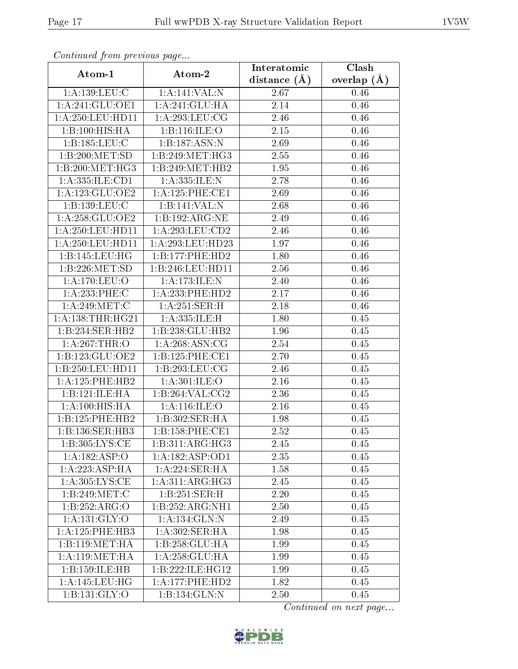| Continued from previous page |                                | Interatomic    | Clash           |
|------------------------------|--------------------------------|----------------|-----------------|
| Atom-1                       | Atom-2                         | distance $(A)$ | overlap $(\AA)$ |
| 1: A: 139: LEU: C            | 1:A:141:VAL:N                  | 2.67           | 0.46            |
| 1:A:241:GLU:OE1              | 1: A:241: GLU:HA               | 2.14           | 0.46            |
| 1: A:250:LEU:HD11            | 1:A:293:LEU:CG                 | 2.46           | 0.46            |
| 1:B:100:HIS:HA               | 1:B:116:ILE:O                  | 2.15           | 0.46            |
| 1:B:185:LEU:C                | 1:B:187:ASN:N                  | 2.69           | 0.46            |
| 1:B:200:MET:SD               | 1: B:249:MET:HG3               | 2.55           | 0.46            |
| 1:B:200:MET:HG3              | 1:B:249:MET:HB2                | 1.95           | 0.46            |
| 1:A:335:ILE:CD1              | 1:A:335:ILE:N                  | 2.78           | 0.46            |
| 1:A:123:GLU:OE2              | 1: A: 125: PHE: CE1            | 2.69           | 0.46            |
| 1:B:139:LEU:C                | 1:B:141:VAL:N                  | 2.68           | 0.46            |
| 1: A:258: GLU:OE2            | 1:B:192:ARG:NE                 | 2.49           | 0.46            |
| 1: A:250:LEU:HD11            | $1: A:293:LEU: \overline{CD2}$ | 2.46           | 0.46            |
| 1:A:250:LEU:HDI1             | 1:A:293:LEU:HD23               | 1.97           | 0.46            |
| 1: B: 145: LEU: HG           | 1:B:177:PHE:HD2                | 1.80           | 0.46            |
| 1:B:226:MET:SD               | 1:B:246:LEU:HD11               | 2.56           | 0.46            |
| 1:A:170:LEU:O                | 1: A:173: ILE:N                | 2.40           | 0.46            |
| 1:A:233:PHE:C                | 1:A:233:PHE:HD2                | 2.17           | 0.46            |
| 1: A:249:MET:C               | 1:A:251:SER:H                  | 2.18           | 0.46            |
| 1: A: 138: THR: HG21         | 1:A:335:ILE:H                  | 1.80           | 0.45            |
| 1:B:234:SER:HB2              | 1:B:238:GLU:HB2                | 1.96           | 0.45            |
| 1: A:267:THR:O               | 1: A:268: ASN:CG               | 2.54           | 0.45            |
| 1:B:123:GLU:OE2              | 1:B:125:PHE:CE1                | 2.70           | 0.45            |
| 1:B:250:LEU:HD11             | 1:B:293:LEU:CG                 | 2.46           | 0.45            |
| 1: A: 125: PHE: HB2          | $1:\overline{A:301:ILE:O}$     | 2.16           | 0.45            |
| 1:B:121:ILE:HA               | 1:B:264:VAL:CG2                | 2.36           | 0.45            |
| 1: A:100:HIS:HA              | 1:A:116:ILE:O                  | 2.16           | 0.45            |
| 1:B:125:PHE:HB2              | 1:B:302:SER:HA                 | 1.98           | 0.45            |
| 1:B:136:SER:HB3              | 1:B:158:PHE:CE1                | 2.52           | 0.45            |
| 1:B:305:LYS:CE               | 1:B:311:ARG:HG3                | 2.45           | 0.45            |
| 1:A:182:ASP:O                | 1:A:182:ASP:OD1                | 2.35           | 0.45            |
| 1: A: 223: ASP:HA            | 1:A:224:SER:HA                 | 1.58           | 0.45            |
| 1: A:305: LYS: CE            | 1:A:311:ARG:HG3                | 2.45           | 0.45            |
| 1:B:249:MET:C                | 1:B:251:SER:H                  | 2.20           | 0.45            |
| 1:B:252:ARG:O                | 1:B:252:ARG:NH1                | 2.50           | 0.45            |
| 1:A:131:GLY:O                | 1:A:134:GLN:N                  | 2.49           | 0.45            |
| 1: A: 125: PHE: HB3          | 1:A:302:SER:HA                 | 1.98           | 0.45            |
| 1:B:119:MET:HA               | 1:B:258:GLU:HA                 | 1.99           | 0.45            |
| 1: A:119: MET:HA             | 1:A:258:GLU:HA                 | 1.99           | 0.45            |
| 1:B:159:ILE:HB               | 1:B:222:ILE:HG12               | 1.99           | 0.45            |
| 1:A:145:LEU:HG               | 1: A:177:PHE:HD2               | 1.82           | 0.45            |
| 1: B: 131: GLY:O             | 1:B:134:GLN:N                  | 2.50           | 0.45            |

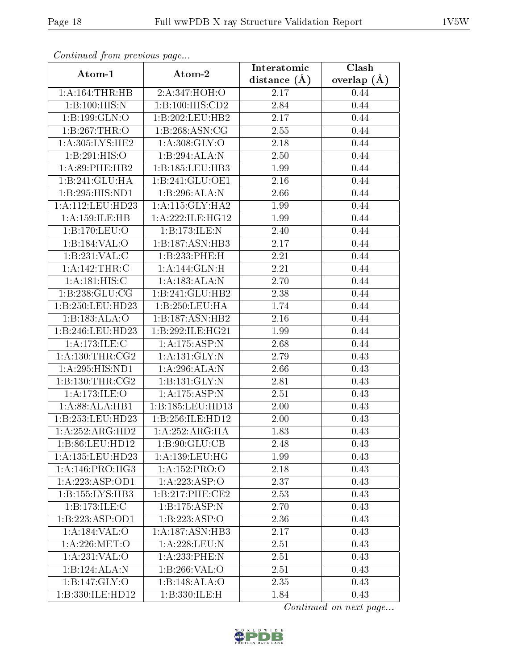| Communa from previous page |                    | Interatomic       | Clash           |
|----------------------------|--------------------|-------------------|-----------------|
| Atom-1                     | Atom-2             | distance $(\AA)$  | overlap $(\AA)$ |
| 1:A:164:THR:HB             | 2:A:347:HOH:O      | 2.17              | 0.44            |
| 1:B:100:HIS:N              | 1:B:100:HIS:CD2    | 2.84              | 0.44            |
| 1:B:199:GLN:O              | 1:B:202:LEU:HB2    | 2.17              | 0.44            |
| 1:B:267:THR:O              | 1:B:268:ASN:CG     | 2.55              | 0.44            |
| 1: A:305: LYS: HE2         | 1: A:308: GLY:O    | 2.18              | 0.44            |
| 1:B:291:HIS:O              | 1:B:294:ALA:N      | 2.50              | 0.44            |
| 1: A:89:PHE:HB2            | 1:B:185:LEU:HB3    | 1.99              | 0.44            |
| 1:B:241:GLU:HA             | 1:B:241:GLU:OE1    | 2.16              | 0.44            |
| 1:B:295:HIS:ND1            | 1:B:296:ALA:N      | 2.66              | 0.44            |
| 1: A:112: LEU: HD23        | 1: A:115: GLY:HA2  | 1.99              | 0.44            |
| 1:A:159:ILE:HB             | 1:A:222:ILE:HG12   | 1.99              | 0.44            |
| 1:B:170:LEU:O              | 1:B:173:ILE:N      | 2.40              | 0.44            |
| 1:B:184:VAL:O              | 1:B:187:ASN:HB3    | 2.17              | 0.44            |
| 1:B:231:VAL:C              | 1:B:233:PHE:H      | 2.21              | 0.44            |
| 1:A:142:THR:C              | 1:A:144:GLN:H      | 2.21              | 0.44            |
| 1: A:181: HIS:C            | 1:A:183:ALA:N      | 2.70              | 0.44            |
| 1:B:238:GLU:CG             | 1:B:241:GLU:HB2    | 2.38              | 0.44            |
| 1:B:250:LEU:HD23           | 1:B:250:LEU:HA     | 1.74              | 0.44            |
| 1:B:183:ALA:O              | 1:B:187:ASN:HB2    | 2.16              | 0.44            |
| 1:B:246:LEU:HD23           | 1:B:292:ILE:HG21   | 1.99              | 0.44            |
| 1: A:173: ILE:C            | 1: A: 175: ASP: N  | 2.68              | 0.44            |
| 1: A: 130: THR: CG2        | 1:A:131:GLY:N      | 2.79              | 0.43            |
| 1:A:295:HIS:ND1            | 1: A:296:ALA:N     | 2.66              | 0.43            |
| 1: B: 130: THR: CG2        | 1:B:131:GLY:N      | 2.81              | 0.43            |
| 1: A:173: ILE: O           | 1:A:175:ASP:N      | 2.51              | 0.43            |
| 1:A:88:ALA:HB1             | 1:B:185:LEU:HD13   | $2.00\,$          | 0.43            |
| 1:B:253:LEU:HD23           | 1:B:256:ILE:HD12   | 2.00              | 0.43            |
| 1:A:252:ARG:HD2            | 1:A:252:ARG:HA     | $\overline{1.83}$ | 0.43            |
| 1:B:86:LEU:HD12            | 1: B:90: GLU:CB    | 2.48              | 0.43            |
| 1:A:135:LEU:HD23           | 1: A: 139: LEU: HG | 1.99              | 0.43            |
| 1: A:146: PRO:HG3          | 1:A:152:PRO:O      | 2.18              | 0.43            |
| 1:A:223:ASP:OD1            | 1:A:223:ASP:O      | 2.37              | 0.43            |
| 1: B: 155: LYS: HB3        | 1:B:217:PHE:CE2    | 2.53              | 0.43            |
| 1:B:173:ILE:C              | 1:B:175:ASP:N      | 2.70              | 0.43            |
| 1: B: 223: ASP: OD1        | 1: B: 223: ASP:O   | 2.36              | 0.43            |
| 1: A: 184: VAL: O          | 1:A:187:ASN:HB3    | 2.17              | 0.43            |
| 1: A:226: MET:O            | 1:A:228:LEU:N      | 2.51              | 0.43            |
| 1:A:231:VAL:O              | 1:A:233:PHE:N      | 2.51              | 0.43            |
| 1:B:124:ALA:N              | 1:B:266:VAL:O      | 2.51              | 0.43            |
| 1:B:147:GLY:O              | 1:B:148:ALA:O      | 2.35              | 0.43            |
| 1:B:330:ILE:HD12           | 1:B:330:ILE:H      | 1.84              | 0.43            |

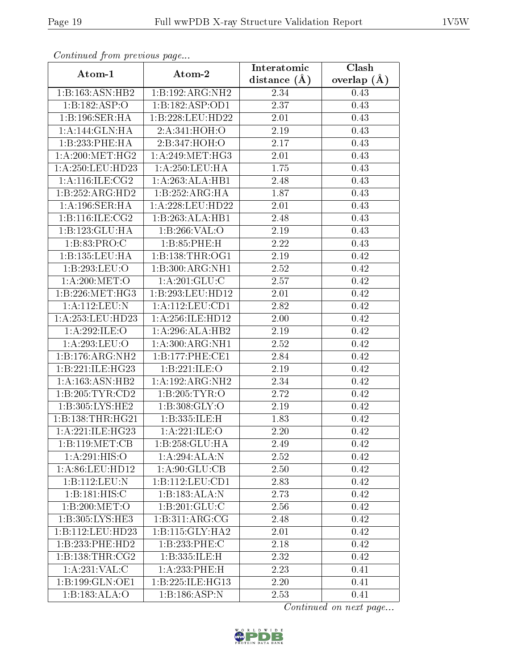| Continued from previous page         |                               | Interatomic       | $\overline{\text{Clash}}$ |
|--------------------------------------|-------------------------------|-------------------|---------------------------|
| Atom-1                               | Atom-2                        | distance $(A)$    | overlap $(A)$             |
| 1:B:163:ASN:HB2                      | 1:B:192:ARG:NH2               | 2.34              | 0.43                      |
| 1:B:182:ASP:O                        | 1:B:182:ASP:OD1               | 2.37              | 0.43                      |
| 1:B:196:SER:HA                       | 1:B:228:LEU:HD22              | 2.01              | 0.43                      |
| 1:A:144:GLN:HA                       | 2:A:341:HOH:O                 | 2.19              | 0.43                      |
| 1:B:233:PHE:HA                       | 2:B:347:HOH:O                 | $2.17\,$          | 0.43                      |
| 1: A:200:MET:HG2                     | $1: A:249:MET:H\overline{G3}$ | 2.01              | 0.43                      |
| 1: A:250:LEU:HD23                    | 1:A:250:LEU:HA                | 1.75              | 0.43                      |
| 1: A:116: ILE: CG2                   | 1:A:263:ALA:HB1               | 2.48              | 0.43                      |
| 1:B:252:ARG:HD2                      | 1:B:252:ARG:HA                | 1.87              | 0.43                      |
| 1: A:196: SER: HA                    | 1:A:228:LEU:HD22              | 2.01              | 0.43                      |
| 1:B:116:ILE:CG2                      | 1:B:263:ALA:HB1               | 2.48              | 0.43                      |
| 1:B:123:GLU:HA                       | 1:B:266:VAL:O                 | 2.19              | 0.43                      |
| 1:B:83:PRO:C                         | 1:B:85:PHE:H                  | 2.22              | 0.43                      |
| 1:B:135:LEU:HA                       | 1: B: 138: THR: OG1           | 2.19              | 0.42                      |
| 1:B:293:LEU:O                        | 1:B:300:ARG:NH1               | 2.52              | 0.42                      |
| 1: A:200:MET:O                       | 1: A:201: GLU: C              | 2.57              | 0.42                      |
| 1:B:226:MET:HG3                      | 1:B:293:LEU:HD12              | 2.01              | 0.42                      |
| 1:A:112:LEU:N                        | 1: A: 112: LEU: CD1           | 2.82              | 0.42                      |
| 1:A:253:LEU:HD23                     | 1:A:256:ILE:HD12              | 2.00              | 0.42                      |
| 1:A:292:ILE:O                        | 1:A:296:ALA:HB2               | 2.19              | 0.42                      |
| 1:A:293:LEU:O                        | 1: A:300:ARG:NH1              | 2.52              | 0.42                      |
| 1:B:176:ARG:NH2                      | 1:B:177:PHE:CE1               | 2.84              | 0.42                      |
| 1:B:221:ILE:HG23                     | 1:B:221:ILE:O                 | 2.19              | 0.42                      |
| 1: A: 163: ASN: HB2                  | 1:A:192:ARG:NH2               | $\overline{2}.34$ | 0.42                      |
| 1:B:205:TYR:CD2                      | 1:B:205:TYR:O                 | 2.72              | 0.42                      |
| 1:B:305:LYS:HE2                      | 1: B: 308: GLY:O              | <b>2.19</b>       | 0.42                      |
| 1:B:138:THR:HG21                     | 1:B:335:ILE:H                 | 1.83              | 0.42                      |
| 1: A:221: ILE: HG23                  | 1:A:221:ILE:O                 | 2.20              | 0.42                      |
| 1: B: 119: MET: CB                   | 1:B:258:GLU:HA                | 2.49              | 0.42                      |
| 1:A:291:HIS:O                        | 1:A:294:ALA:N                 | 2.52              | 0.42                      |
| 1: A:86: LEU:HD12                    | 1: A:90: GLU:CB               | 2.50              | 0.42                      |
| 1:B:112:LEU:N                        | 1:B:112:LEU:CD1               | 2.83              | 0.42                      |
| 1:B:181:HIS:C                        | 1:B:183:ALA:N                 | 2.73              | 0.42                      |
| 1:B:200:MET:O                        | 1:B:201:GLU:C                 | 2.56              | 0.42                      |
| 1:B:305:LYS:HE3                      | 1: B: 311: ARG: CG            | 2.48              | 0.42                      |
| 1:B:112:LEU:HD23                     | 1:B:115:GLY:HA2               | 2.01              | 0.42                      |
| 1:B:233:PHE:HD2                      | 1:B:233:PHE:C                 | 2.18              | 0.42                      |
| $1:B:138: \overline{\text{THR}:CG2}$ | 1:B:335:ILE:H                 | 2.32              | 0.42                      |
| 1: A:231:VAL: C                      | 1:A:233:PHE:H                 | 2.23              | 0.41                      |
| 1:B:199:GLN:OE1                      | 1:B:225:ILE:HG13              | 2.20              | 0.41                      |
| 1:B:183:ALA:O                        | 1:B:186:ASP:N                 | 2.53              | 0.41                      |

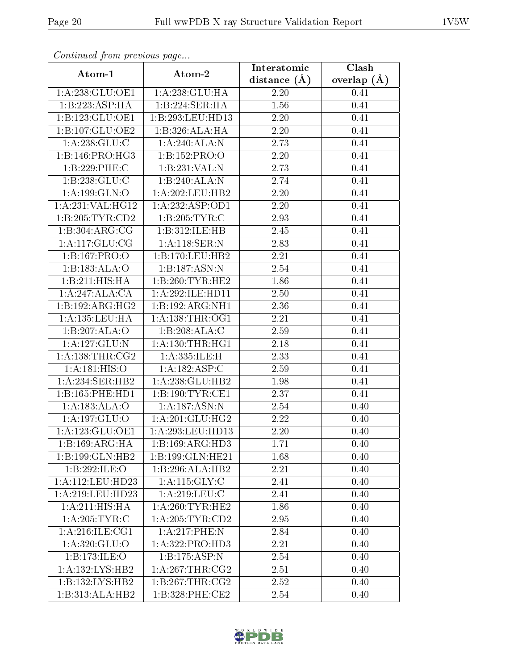| Commuca from previous page             |                            | Interatomic    | Clash         |
|----------------------------------------|----------------------------|----------------|---------------|
| Atom-1                                 | Atom-2                     | distance $(A)$ | overlap $(A)$ |
| 1:A:238:GLU:OE1                        | 1: A: 238: GLU: HA         | 2.20           | 0.41          |
| 1:B:223:ASP:HA                         | 1:B:224:SER:HA             | 1.56           | 0.41          |
| 1:B:123:GLU:OE1                        | 1:B:293:LEU:HD13           | 2.20           | 0.41          |
| 1:B:107:GLU:OE2                        | 1:B:326:ALA:HA             | 2.20           | 0.41          |
| 1:A:238:GLU:C                          | 1: A:240:ALA:N             | 2.73           | 0.41          |
| 1:B:146:PRO:HG3                        | 1:B:152:PRO:O              | 2.20           | 0.41          |
| 1:B:229:PHE:C                          | 1:B:231:VAL:N              | 2.73           | 0.41          |
| 1: B: 238: GLU: C                      | 1:B:240:ALA:N              | 2.74           | 0.41          |
| 1:A:199:GLN:O                          | 1:A:202:LEU:HB2            | 2.20           | 0.41          |
| 1:A:231:VAL:HG12                       | 1: A: 232: ASP:OD1         | 2.20           | 0.41          |
| 1:B:205:TYR:CD2                        | 1:B:205:TYR:C              | 2.93           | 0.41          |
| $1:B:30\overline{4:ARG:CG}$            | 1:B:312:ILE:HB             | 2.45           | 0.41          |
| 1:A:117:GLU:CG                         | 1:A:118:SER:N              | 2.83           | 0.41          |
| 1:B:167:PRO:O                          | 1:B:170:LEU:HB2            | 2.21           | 0.41          |
| 1:B:183:ALA:O                          | 1:B:187:ASN:N              | 2.54           | 0.41          |
| 1:B:211:HIS:HA                         | 1:B:260:TYR:HE2            | 1.86           | 0.41          |
| 1:A:247:ALA:CA                         | 1:A:292:ILE:HD11           | 2.50           | 0.41          |
| 1:B:192:ARG:HG2                        | 1:B:192:ARG:NH1            | 2.36           | 0.41          |
| 1: A: 135: LEU: HA                     | 1: A: 138: THR: OG1        | 2.21           | 0.41          |
| 1:B:207:ALA:O                          | 1:B:208:ALA:C              | 2.59           | 0.41          |
| 1:A:127:GLU:N                          | 1: A: 130: THR: HG1        | 2.18           | 0.41          |
| 1: A: 138: THR: CG2                    | 1:A:335:ILE:H              | 2.33           | 0.41          |
| 1:A:181:HIS:O                          | 1:A:182:ASP:C              | 2.59           | 0.41          |
| 1: A:234: SER: HB2                     | 1:A:238:GLU:HB2            | 1.98           | 0.41          |
| 1:B:165:PHE:HD1                        | 1:B:190:TYR:CE1            | 2.37           | 0.41          |
| 1:A:183:ALA:O                          | 1: A: 187: ASN: N          | 2.54           | 0.40          |
| 1:A:197:GLU:O                          | 1:A:201:GLU:HG2            | 2.22           | 0.40          |
| 1: A:123: GLU:OE1                      | 1:A:293:LEU:HD13           | 2.20           | 0.40          |
| $1:B:169:A\overline{RG:H}\overline{A}$ | 1:B:169:ARG:HD3            | 1.71           | 0.40          |
| 1:B:199:GLN:HB2                        | 1:B:199:GLN:HE21           | 1.68           | 0.40          |
| 1:B:292:ILE:O                          | 1:B:296:ALA:HB2            | 2.21           | 0.40          |
| 1:A:112:LEU:HD23                       | 1:A:115:GLY:C              | 2.41           | 0.40          |
| 1: A:219:LEU:HD23                      | 1: A:219:LEU: C            | 2.41           | 0.40          |
| 1: A:211: HIS: HA                      | 1: A:260:TYR:HE2           | 1.86           | 0.40          |
| 1:A:205:TYR:C                          | 1: A:205:TYR:CD2           | 2.95           | 0.40          |
| 1: A:216: ILE: CG1                     | 1:A:217:PHE:N              | 2.84           | 0.40          |
| 1: A:320: GLU:O                        | 1:A:322:PRO:HD3            | 2.21           | 0.40          |
| 1:B:173:ILE:O                          | $1:B:175:\overline{ASP:N}$ | 2.54           | 0.40          |
| 1: A: 132: LYS: HB2                    | 1: A:267:THR:CG2           | 2.51           | 0.40          |
| 1:B:132:LYS:HB2                        | 1:B:267:THR:CG2            | 2.52           | 0.40          |
| 1:B:313:ALA:HB2                        | 1:B:328:PHE:CE2            | 2.54           | 0.40          |

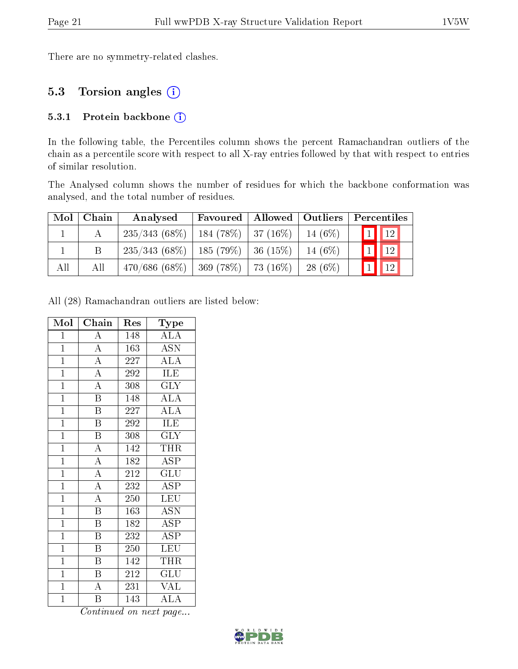There are no symmetry-related clashes.

### 5.3 Torsion angles (i)

#### 5.3.1 Protein backbone (i)

In the following table, the Percentiles column shows the percent Ramachandran outliers of the chain as a percentile score with respect to all X-ray entries followed by that with respect to entries of similar resolution.

The Analysed column shows the number of residues for which the backbone conformation was analysed, and the total number of residues.

|     | $Mol$   Chain | Analysed                                            | Favoured   Allowed   Outliers |           | Percentiles              |
|-----|---------------|-----------------------------------------------------|-------------------------------|-----------|--------------------------|
|     |               | $235/343(68\%)$   184 (78\%)   37 (16\%)   14 (6\%) |                               |           | $\boxed{1}$ $\boxed{12}$ |
|     |               | $235/343$ (68\%)   185 (79\%)   36 (15\%)           |                               | $14(6\%)$ | $\boxed{1}$ $\boxed{12}$ |
| All | All           | $470/686$ (68\%)   369 (78\%)   73 (16\%)           |                               | $28(6\%)$ | $\sqrt{12}$              |

All (28) Ramachandran outliers are listed below:

| Mol            | Chain                               | Res | Type                               |
|----------------|-------------------------------------|-----|------------------------------------|
| $\mathbf 1$    | $\overline{A}$                      | 148 | $\mathrm{AL}\overline{\mathrm{A}}$ |
| $\overline{1}$ | $\overline{A}$                      | 163 | <b>ASN</b>                         |
| $\mathbf{1}$   | $\overline{A}$                      | 227 | $\overline{\rm ALA}$               |
| $\mathbf{1}$   | $\overline{A}$                      | 292 | <b>ILE</b>                         |
| $\overline{1}$ | $\overline{A}$                      | 308 | $\overline{\text{GLY}}$            |
| $\overline{1}$ | $\overline{\text{B}}$               | 148 | <b>ALA</b>                         |
| $\mathbf{1}$   | $\overline{\mathrm{B}}$             | 227 | $\overline{\rm ALA}$               |
| $\mathbf{1}$   | $\overline{\mathrm{B}}$             | 292 | ILE                                |
| $\mathbf{1}$   | $\overline{\mathrm{B}}$             | 308 | <b>GLY</b>                         |
| $\overline{1}$ | $\overline{A}$                      | 142 | <b>THR</b>                         |
| $\overline{1}$ | $\frac{\overline{A}}{\overline{A}}$ | 182 | <b>ASP</b>                         |
| $\overline{1}$ |                                     | 212 | $\overline{\mathrm{GLU}}$          |
| $\mathbf{1}$   | $\overline{A}$                      | 232 | $\overline{\text{ASP}}$            |
| $\mathbf{1}$   | $\overline{A}$                      | 250 | <b>LEU</b>                         |
| $\overline{1}$ | $\overline{\mathbf{B}}$             | 163 | <b>ASN</b>                         |
| $\mathbf{1}$   | $\overline{\mathrm{B}}$             | 182 | <b>ASP</b>                         |
| $\overline{1}$ | $\overline{\mathrm{B}}$             | 232 | $\overline{\rm ASP}$               |
| $\overline{1}$ | $\overline{\mathrm{B}}$             | 250 | LEU                                |
| $\overline{1}$ | $\overline{\mathrm{B}}$             | 142 | THR                                |
| $\mathbf{1}$   | $\overline{B}$                      | 212 | GLU                                |
| $\overline{1}$ | $\overline{\rm A}$                  | 231 | <b>VAL</b>                         |
| $\overline{1}$ | $\overline{\mathrm{B}}$             | 143 | $\overline{\text{ALA}}$            |

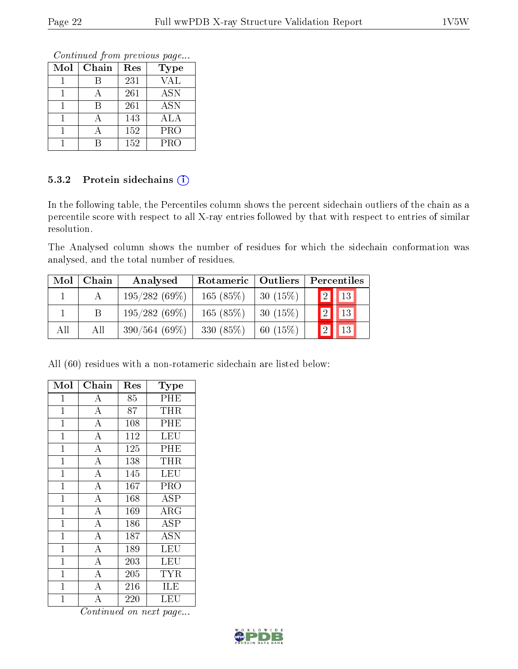Continued from previous page...

| Mol | Chain | Res | <b>Type</b> |
|-----|-------|-----|-------------|
|     |       | 231 | VAL         |
|     |       | 261 | <b>ASN</b>  |
|     |       | 261 | <b>ASN</b>  |
|     |       | 143 | ALA         |
|     |       | 152 | <b>PRO</b>  |
|     |       | 152 | PRO         |

#### 5.3.2 Protein sidechains (i)

In the following table, the Percentiles column shows the percent sidechain outliers of the chain as a percentile score with respect to all X-ray entries followed by that with respect to entries of similar resolution.

The Analysed column shows the number of residues for which the sidechain conformation was analysed, and the total number of residues.

| Mol | Chain | Analysed        | Rotameric   Outliers |         | Percentiles                    |
|-----|-------|-----------------|----------------------|---------|--------------------------------|
|     |       | 195/282(69%)    | 165(85%)             | 30(15%) | $\vert 2 \vert \vert 13 \vert$ |
|     |       | 195/282(69%)    | 165(85%)             | 30(15%) | $\boxed{13}$                   |
| All | All   | $390/564(69\%)$ | 330 (85%)            | 60(15%) | 13                             |

All (60) residues with a non-rotameric sidechain are listed below:

| Mol            | Chain              | $\operatorname{Res}% \left( \mathcal{N}\right) \equiv\operatorname{Res}(\mathcal{N}_{0})\cap\mathcal{N}_{1}$ | Type       |
|----------------|--------------------|--------------------------------------------------------------------------------------------------------------|------------|
| $\mathbf{1}$   | A                  | 85                                                                                                           | PHE        |
| $\mathbf{1}$   | $\overline{A}$     | 87                                                                                                           | THR        |
| $\mathbf{1}$   | $\overline{A}$     | 108                                                                                                          | PHE        |
| $\mathbf{1}$   | $\overline{A}$     | 112                                                                                                          | LEU        |
| $\overline{1}$ | $\overline{\rm A}$ | 125                                                                                                          | PHE        |
| $\mathbf 1$    | $\overline{A}$     | 138                                                                                                          | THR        |
| $\mathbf{1}$   | $\bf{A}$           | 145                                                                                                          | LEU        |
| $\mathbf{1}$   | $\overline{\rm A}$ | 167                                                                                                          | PRO        |
| $\mathbf{1}$   | $\overline{\rm A}$ | 168                                                                                                          | <b>ASP</b> |
| $\overline{1}$ | $\overline{\rm A}$ | 169                                                                                                          | $\rm{ARG}$ |
| $\mathbf{1}$   | $\overline{\rm A}$ | 186                                                                                                          | <b>ASP</b> |
| $\mathbf{1}$   | $\overline{A}$     | 187                                                                                                          | <b>ASN</b> |
| $\overline{1}$ | $\overline{A}$     | 189                                                                                                          | LEU        |
| $\mathbf{1}$   | $\overline{A}$     | 203                                                                                                          | LEU        |
| $\overline{1}$ | $\overline{\rm A}$ | 205                                                                                                          | <b>TYR</b> |
| $\mathbf 1$    | $\overline{\rm A}$ | 216                                                                                                          | ILE        |
| $\overline{1}$ | $\overline{\rm A}$ | 220                                                                                                          | LEU        |

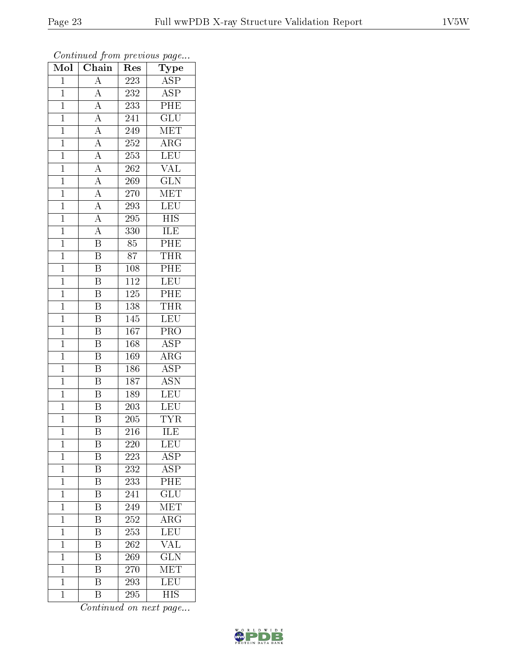| $\overline{\text{Mol}}$ | $\boldsymbol{\omega}$<br>Chain | Res              | $\overline{\phantom{a}}$<br>Type |
|-------------------------|--------------------------------|------------------|----------------------------------|
| $\overline{1}$          | $\overline{A}$                 | 223              | <b>ASP</b>                       |
| $\overline{1}$          | $\overline{\rm A}$             | 232              | $\overline{\text{ASP}}$          |
| $\mathbf{1}$            | $\overline{A}$                 | 233              | $\overline{\rm PHE}$             |
| $\mathbf 1$             | $\overline{A}$                 | 241              | $\overline{\text{GLU}}$          |
| $\mathbf{1}$            | $\overline{A}$                 | 249              | $\overline{\text{MET}}$          |
| $\mathbf 1$             | $\overline{A}$                 | 252              | $\rm{ARG}$                       |
| $\mathbf{1}$            | $\overline{A}$                 | 253              | <b>LEU</b>                       |
| $\mathbf{1}$            | $\overline{A}$                 | 262              | $\overline{\text{VAL}}$          |
| $\mathbf{1}$            | $\frac{\overline{A}}{A}$       | 269              | $\overline{\text{GLN}}$          |
| $\mathbf{1}$            |                                | 270              | $\overline{\text{MET}}$          |
| $\mathbf{1}$            | $\overline{A}$                 | 293              | LEU                              |
| $\mathbf{1}$            | $\overline{A}$                 | 295              | $\overline{\mathrm{HIS}}$        |
| $\mathbf{1}$            | $\overline{A}$                 | 330              | ILE                              |
| $\mathbf{1}$            | $\boldsymbol{\mathrm{B}}$      | 85               | PHE                              |
| $\mathbf{1}$            | $\overline{\mathrm{B}}$        | 87               | <b>THR</b>                       |
| $\mathbf{1}$            | B                              | 108              | PHE                              |
| $\overline{1}$          | $\overline{\mathrm{B}}$        | $\overline{112}$ | LEU                              |
| $\mathbf{1}$            | $\overline{\mathrm{B}}$        | 125              | PHE                              |
| $\mathbf{1}$            | $\overline{\mathrm{B}}$        | 138              | <b>THR</b>                       |
| $\mathbf{1}$            | $\bar{\text{B}}$               | 145              | LEU                              |
| $\mathbf{1}$            | B                              | 167              | PRO                              |
| $\overline{1}$          | $\overline{\mathrm{B}}$        | 168              | $\overline{\text{ASP}}$          |
| $\mathbf 1$             | B                              | 169              | $\rm{ARG}$                       |
| $\mathbf 1$             | $\overline{\mathrm{B}}$        | 186              | $\overline{\rm ASP}$             |
| $\mathbf{1}$            | $\overline{\mathrm{B}}$        | 187              | $\overline{ASN}$                 |
| $\mathbf{1}$            | $\overline{\mathrm{B}}$        | 189              | <b>LEU</b>                       |
| $\mathbf{1}$            | $\overline{\mathrm{B}}$        | 203              | LEU                              |
| $\mathbf{1}$            | $\overline{\mathrm{B}}$        | 205              | <b>TYR</b>                       |
| $\mathbf 1$             | $\overline{\mathrm{B}}$        | 216              | $\overline{\rm ILE}$             |
| $\mathbf 1$             | Β                              | 220              | LEU                              |
| $\mathbf{1}$            | Β                              | 223              | $\overline{\text{ASP}}$          |
| $\mathbf{1}$            | $\overline{\mathrm{B}}$        | 232              | $\overline{\text{ASP}}$          |
| $\mathbf 1$             | Β                              | 233              | PHE                              |
| $\mathbf 1$             | $\overline{\mathrm{B}}$        | 241              | $\overline{\text{GLU}}$          |
| $\mathbf{1}$            | Β                              | 249              | $ME\overline{T}$                 |
| $\overline{1}$          | $\overline{\mathrm{B}}$        | 252              | $\overline{\rm{ARG}}$            |
| $\mathbf 1$             | Β                              | 253              | LEU                              |
| $\mathbf{1}$            | $\overline{\rm B}$             | 262              | $\overline{\text{VAL}}$          |
| $\mathbf 1$             | $\overline{\mathrm{B}}$        | 269              | $\overline{\text{GLN}}$          |
| $\mathbf{1}$            | B                              | 270              | MET                              |
| $\mathbf{1}$            | $\rm \overline{B}$             | 293              | $\overline{\text{LEU}}$          |
| $\mathbf{1}$            | $\overline{B}$                 | 295              | $\overline{\mathrm{HIS}}$        |

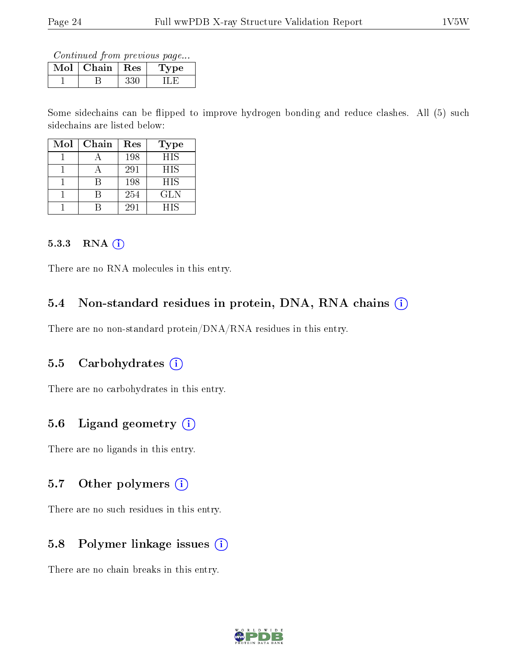Continued from previous page...

| Mol | Chain | $\perp$ Res | type |
|-----|-------|-------------|------|
|     |       |             |      |

Some sidechains can be flipped to improve hydrogen bonding and reduce clashes. All (5) such sidechains are listed below:

| $\operatorname{Mol}$ | Chain | Res | Type       |
|----------------------|-------|-----|------------|
|                      |       | 198 | <b>HIS</b> |
|                      |       | 291 | <b>HIS</b> |
|                      |       | 198 | <b>HIS</b> |
|                      |       | 254 | GL N       |
|                      |       | 291 | HIS        |

#### 5.3.3 RNA (i)

There are no RNA molecules in this entry.

## 5.4 Non-standard residues in protein, DNA, RNA chains (i)

There are no non-standard protein/DNA/RNA residues in this entry.

#### 5.5 Carbohydrates (i)

There are no carbohydrates in this entry.

## 5.6 Ligand geometry  $(i)$

There are no ligands in this entry.

#### 5.7 [O](https://www.wwpdb.org/validation/2017/XrayValidationReportHelp#nonstandard_residues_and_ligands)ther polymers  $(i)$

There are no such residues in this entry.

## 5.8 Polymer linkage issues  $(i)$

There are no chain breaks in this entry.

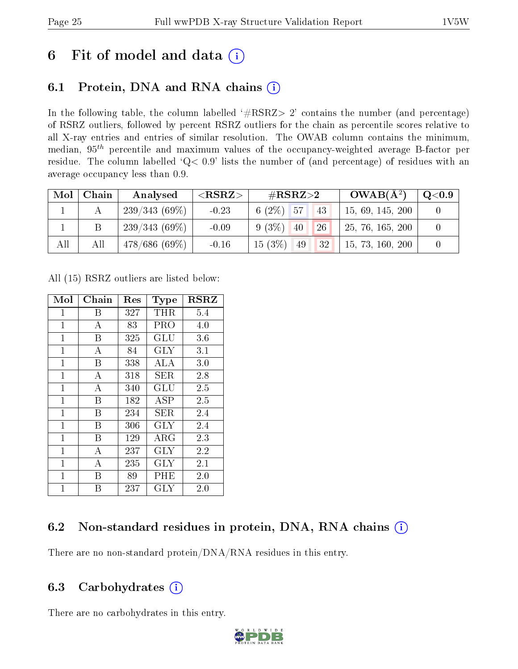# 6 Fit of model and data  $(i)$

## 6.1 Protein, DNA and RNA chains  $(i)$

In the following table, the column labelled  $#RSRZ> 2'$  contains the number (and percentage) of RSRZ outliers, followed by percent RSRZ outliers for the chain as percentile scores relative to all X-ray entries and entries of similar resolution. The OWAB column contains the minimum, median,  $95<sup>th</sup>$  percentile and maximum values of the occupancy-weighted average B-factor per residue. The column labelled ' $Q< 0.9$ ' lists the number of (and percentage) of residues with an average occupancy less than 0.9.

| Mol | Chain | Analysed        | ${ <\hspace{-1.5pt}{\mathrm{RSRZ}} \hspace{-1.5pt}>}$ | # $RSRZ>2$                  | $OWAB(A^2)$      | $\rm Q\mathord{<}0.9$ |
|-----|-------|-----------------|-------------------------------------------------------|-----------------------------|------------------|-----------------------|
|     |       | $239/343(69\%)$ | $-0.23$                                               | $6(2\%)$ 57<br>43           | 15, 69, 145, 200 |                       |
|     |       | 239/343(69%)    | $-0.09$                                               | $9(3\%)$<br><b>26</b><br>40 | 25, 76, 165, 200 |                       |
| All | All   | $478/686(69\%)$ | $-0.16$                                               | $15(3\%)$<br> 32 <br>49     | 15, 73, 160, 200 |                       |

All (15) RSRZ outliers are listed below:

| Mol            | ${\rm Chain}$ | Res | <b>Type</b>          | <b>RSRZ</b> |
|----------------|---------------|-----|----------------------|-------------|
| 1              | В             | 327 | THR                  | 5.4         |
| $\mathbf{1}$   | A             | 83  | PRO                  | 4.0         |
| $\mathbf{1}$   | Β             | 325 | GLU                  | 3.6         |
| $\mathbf{1}$   | А             | 84  | <b>GLY</b>           | 3.1         |
| $\mathbf{1}$   | B             | 338 | ALA                  | 3.0         |
| $\mathbf 1$    | А             | 318 | SER                  | 2.8         |
| $\overline{1}$ | A             | 340 | $\operatorname{GLU}$ | 2.5         |
| $\overline{1}$ | Β             | 182 | ASP                  | 2.5         |
| $\mathbf 1$    | В             | 234 | SER                  | 2.4         |
| $\mathbf{1}$   | B             | 306 | <b>GLY</b>           | 2.4         |
| $\mathbf{1}$   | Β             | 129 | ${\rm ARG}$          | 2.3         |
| $\mathbf 1$    | А             | 237 | <b>GLY</b>           | 2.2         |
| $\mathbf{1}$   | А             | 235 | GLY                  | 2.1         |
| $\mathbf 1$    | Β             | 89  | PHE                  | 2.0         |
| 1              | В             | 237 | GLY                  | 2.0         |

## 6.2 Non-standard residues in protein, DNA, RNA chains (i)

There are no non-standard protein/DNA/RNA residues in this entry.

## 6.3 Carbohydrates (i)

There are no carbohydrates in this entry.